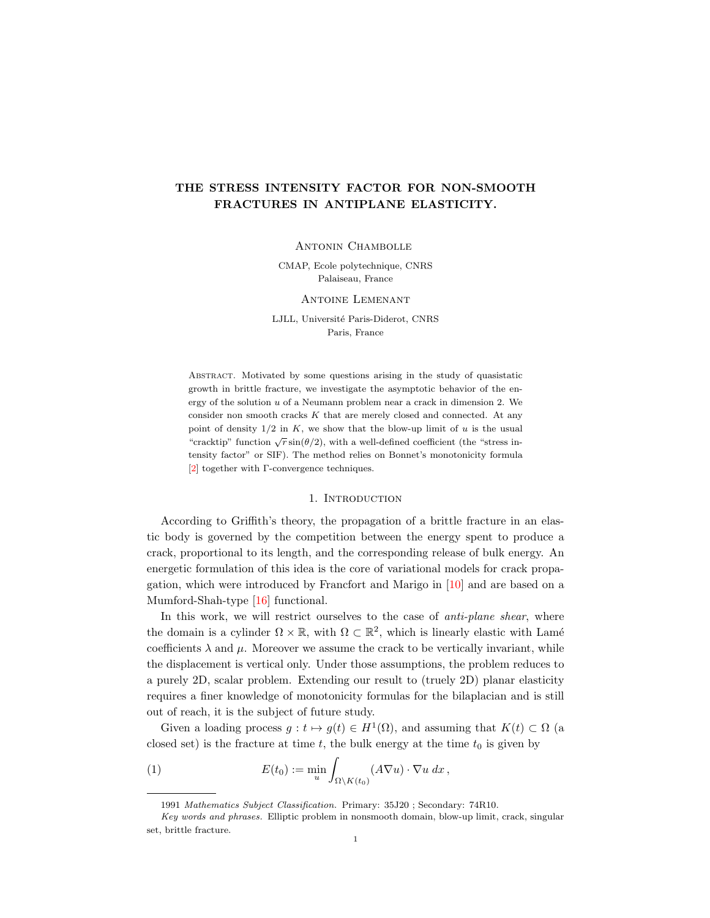# THE STRESS INTENSITY FACTOR FOR NON-SMOOTH FRACTURES IN ANTIPLANE ELASTICITY.

# Antonin Chambolle

CMAP, Ecole polytechnique, CNRS Palaiseau, France

#### Antoine Lemenant

LJLL, Université Paris-Diderot, CNRS Paris, France

Abstract. Motivated by some questions arising in the study of quasistatic growth in brittle fracture, we investigate the asymptotic behavior of the energy of the solution u of a Neumann problem near a crack in dimension 2. We consider non smooth cracks K that are merely closed and connected. At any point of density  $1/2$  in K, we show that the blow-up limit of u is the usual  $r^2$  since  $\sqrt{r} \sin(\theta/2)$ , with a well-defined coefficient (the "stress in-"cracktip" function  $\sqrt{r} \sin(\theta/2)$ , with a well-defined coefficient (the "stress") tensity factor" or SIF). The method relies on Bonnet's monotonicity formula [\[2\]](#page-23-0) together with Γ-convergence techniques.

# 1. INTRODUCTION

According to Griffith's theory, the propagation of a brittle fracture in an elastic body is governed by the competition between the energy spent to produce a crack, proportional to its length, and the corresponding release of bulk energy. An energetic formulation of this idea is the core of variational models for crack propagation, which were introduced by Francfort and Marigo in [\[10\]](#page-23-1) and are based on a Mumford-Shah-type [\[16\]](#page-23-2) functional.

In this work, we will restrict ourselves to the case of *anti-plane shear*, where the domain is a cylinder  $\Omega \times \mathbb{R}$ , with  $\Omega \subset \mathbb{R}^2$ , which is linearly elastic with Lamé coefficients  $\lambda$  and  $\mu$ . Moreover we assume the crack to be vertically invariant, while the displacement is vertical only. Under those assumptions, the problem reduces to a purely 2D, scalar problem. Extending our result to (truely 2D) planar elasticity requires a finer knowledge of monotonicity formulas for the bilaplacian and is still out of reach, it is the subject of future study.

Given a loading process  $g: t \mapsto g(t) \in H^1(\Omega)$ , and assuming that  $K(t) \subset \Omega$  (a closed set) is the fracture at time  $t$ , the bulk energy at the time  $t_0$  is given by

(1) 
$$
E(t_0) := \min_u \int_{\Omega \setminus K(t_0)} (A \nabla u) \cdot \nabla u \, dx,
$$

<span id="page-0-0"></span><sup>1991</sup> Mathematics Subject Classification. Primary: 35J20 ; Secondary: 74R10.

Key words and phrases. Elliptic problem in nonsmooth domain, blow-up limit, crack, singular set, brittle fracture.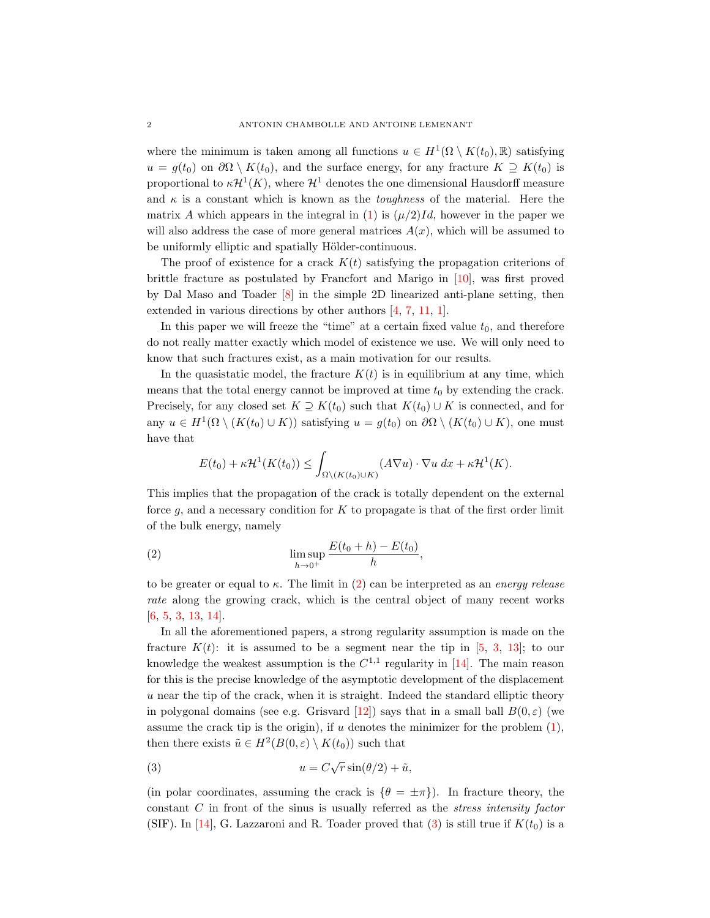where the minimum is taken among all functions  $u \in H^1(\Omega \setminus K(t_0), \mathbb{R})$  satisfying  $u = g(t_0)$  on  $\partial\Omega \setminus K(t_0)$ , and the surface energy, for any fracture  $K \supseteq K(t_0)$  is proportional to  $\kappa H^1(K)$ , where  $\mathcal{H}^1$  denotes the one dimensional Hausdorff measure and  $\kappa$  is a constant which is known as the *toughness* of the material. Here the matrix A which appears in the integral in [\(1\)](#page-0-0) is  $(\mu/2)Id$ , however in the paper we will also address the case of more general matrices  $A(x)$ , which will be assumed to be uniformly elliptic and spatially Hölder-continuous.

The proof of existence for a crack  $K(t)$  satisfying the propagation criterions of brittle fracture as postulated by Francfort and Marigo in [\[10\]](#page-23-1), was first proved by Dal Maso and Toader [\[8\]](#page-23-3) in the simple 2D linearized anti-plane setting, then extended in various directions by other authors [\[4,](#page-23-4) [7,](#page-23-5) [11,](#page-23-6) [1\]](#page-23-7).

In this paper we will freeze the "time" at a certain fixed value  $t_0$ , and therefore do not really matter exactly which model of existence we use. We will only need to know that such fractures exist, as a main motivation for our results.

In the quasistatic model, the fracture  $K(t)$  is in equilibrium at any time, which means that the total energy cannot be improved at time  $t_0$  by extending the crack. Precisely, for any closed set  $K \supseteq K(t_0)$  such that  $K(t_0) \cup K$  is connected, and for any  $u \in H^1(\Omega \setminus (K(t_0) \cup K))$  satisfying  $u = g(t_0)$  on  $\partial\Omega \setminus (K(t_0) \cup K)$ , one must have that

<span id="page-1-0"></span>
$$
E(t_0) + \kappa \mathcal{H}^1(K(t_0)) \le \int_{\Omega \setminus (K(t_0) \cup K)} (A \nabla u) \cdot \nabla u \, dx + \kappa \mathcal{H}^1(K).
$$

This implies that the propagation of the crack is totally dependent on the external force  $g$ , and a necessary condition for  $K$  to propagate is that of the first order limit of the bulk energy, namely

,

(2) 
$$
\limsup_{h \to 0^+} \frac{E(t_0 + h) - E(t_0)}{h}
$$

to be greater or equal to  $\kappa$ . The limit in [\(2\)](#page-1-0) can be interpreted as an *energy release* rate along the growing crack, which is the central object of many recent works [\[6,](#page-23-8) [5,](#page-23-9) [3,](#page-23-10) [13,](#page-23-11) [14\]](#page-23-12).

In all the aforementioned papers, a strong regularity assumption is made on the fracture  $K(t)$ : it is assumed to be a segment near the tip in [\[5,](#page-23-9) [3,](#page-23-10) [13\]](#page-23-11); to our knowledge the weakest assumption is the  $C^{1,1}$  regularity in [\[14\]](#page-23-12). The main reason for this is the precise knowledge of the asymptotic development of the displacement u near the tip of the crack, when it is straight. Indeed the standard elliptic theory in polygonal domains (see e.g. Grisvard [\[12\]](#page-23-13)) says that in a small ball  $B(0, \varepsilon)$  (we assume the crack tip is the origin), if  $u$  denotes the minimizer for the problem  $(1)$ , then there exists  $\tilde{u} \in H^2(B(0, \varepsilon) \setminus K(t_0))$  such that

<span id="page-1-1"></span>(3) 
$$
u = C\sqrt{r}\sin(\theta/2) + \tilde{u},
$$

(in polar coordinates, assuming the crack is  $\{\theta = \pm \pi\}$ ). In fracture theory, the constant  $C$  in front of the sinus is usually referred as the *stress intensity factor* (SIF). In [\[14\]](#page-23-12), G. Lazzaroni and R. Toader proved that [\(3\)](#page-1-1) is still true if  $K(t_0)$  is a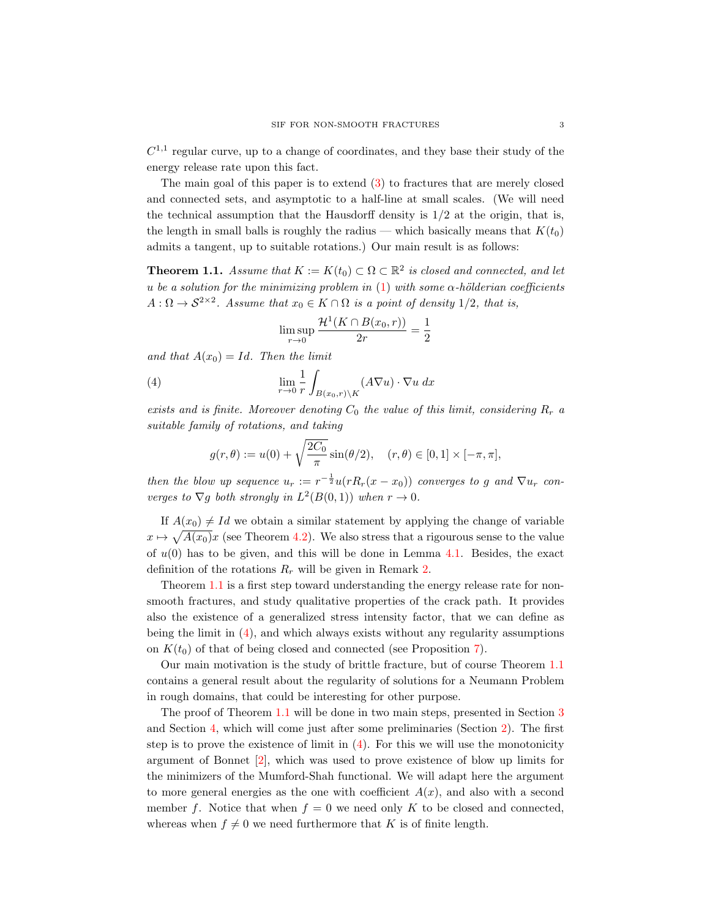$C^{1,1}$  regular curve, up to a change of coordinates, and they base their study of the energy release rate upon this fact.

The main goal of this paper is to extend [\(3\)](#page-1-1) to fractures that are merely closed and connected sets, and asymptotic to a half-line at small scales. (We will need the technical assumption that the Hausdorff density is  $1/2$  at the origin, that is, the length in small balls is roughly the radius — which basically means that  $K(t_0)$ admits a tangent, up to suitable rotations.) Our main result is as follows:

<span id="page-2-0"></span>**Theorem 1.1.** Assume that  $K := K(t_0) \subset \Omega \subset \mathbb{R}^2$  is closed and connected, and let u be a solution for the minimizing problem in [\(1\)](#page-0-0) with some  $\alpha$ -hölderian coefficients  $A: \Omega \to \mathcal{S}^{2\times 2}$ . Assume that  $x_0 \in K \cap \Omega$  is a point of density 1/2, that is,

<span id="page-2-1"></span>
$$
\limsup_{r \to 0} \frac{\mathcal{H}^1(K \cap B(x_0, r))}{2r} = \frac{1}{2}
$$

and that  $A(x_0) = Id$ . Then the limit

(4) 
$$
\lim_{r \to 0} \frac{1}{r} \int_{B(x_0,r) \backslash K} (A \nabla u) \cdot \nabla u \, dx
$$

exists and is finite. Moreover denoting  $C_0$  the value of this limit, considering  $R_r$  a suitable family of rotations, and taking

$$
g(r,\theta) := u(0) + \sqrt{\frac{2C_0}{\pi}} \sin(\theta/2), \quad (r,\theta) \in [0,1] \times [-\pi,\pi],
$$

then the blow up sequence  $u_r := r^{-\frac{1}{2}}u(rR_r(x-x_0))$  converges to g and  $\nabla u_r$  converges to  $\nabla g$  both strongly in  $L^2(B(0,1))$  when  $r \to 0$ .

If  $A(x_0) \neq Id$  we obtain a similar statement by applying the change of variable  $x \mapsto \sqrt{A(x_0)}x$  (see Theorem [4.2\)](#page-18-0). We also stress that a rigourous sense to the value of  $u(0)$  has to be given, and this will be done in Lemma [4.1.](#page-17-0) Besides, the exact definition of the rotations  $R_r$  will be given in Remark [2.](#page-5-0)

Theorem [1.1](#page-2-0) is a first step toward understanding the energy release rate for nonsmooth fractures, and study qualitative properties of the crack path. It provides also the existence of a generalized stress intensity factor, that we can define as being the limit in  $(4)$ , and which always exists without any regularity assumptions on  $K(t_0)$  of that of being closed and connected (see Proposition [7\)](#page-13-0).

Our main motivation is the study of brittle fracture, but of course Theorem [1.1](#page-2-0) contains a general result about the regularity of solutions for a Neumann Problem in rough domains, that could be interesting for other purpose.

The proof of Theorem [1.1](#page-2-0) will be done in two main steps, presented in Section [3](#page-7-0) and Section [4,](#page-17-1) which will come just after some preliminaries (Section [2\)](#page-3-0). The first step is to prove the existence of limit in [\(4\)](#page-2-1). For this we will use the monotonicity argument of Bonnet [\[2\]](#page-23-0), which was used to prove existence of blow up limits for the minimizers of the Mumford-Shah functional. We will adapt here the argument to more general energies as the one with coefficient  $A(x)$ , and also with a second member f. Notice that when  $f = 0$  we need only K to be closed and connected, whereas when  $f \neq 0$  we need furthermore that K is of finite length.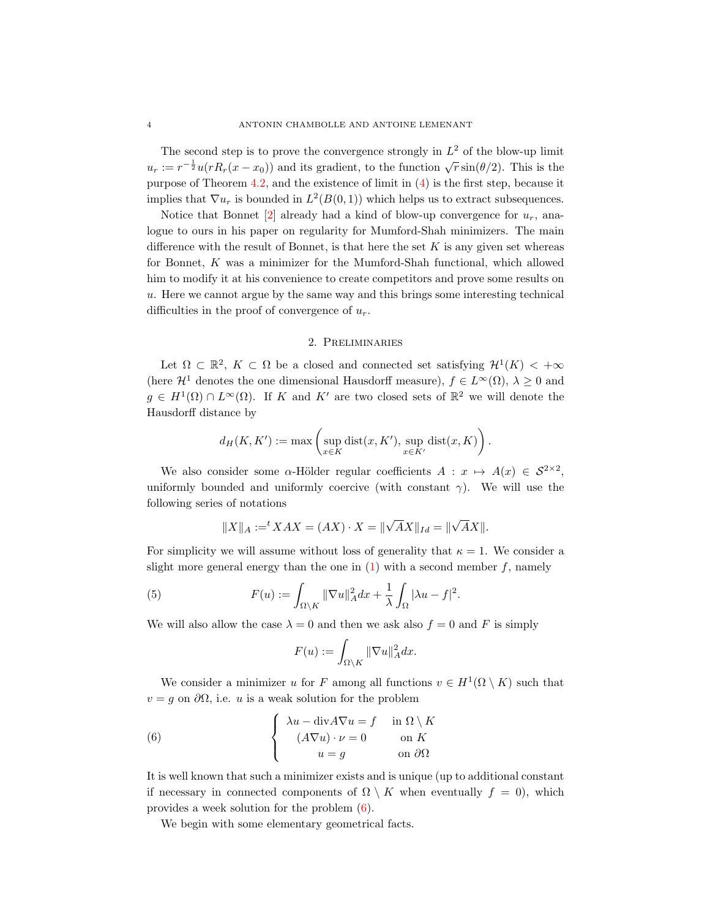The second step is to prove the convergence strongly in  $L^2$  of the blow-up limit  $u_r := r^{-\frac{1}{2}} u(rR_r(x - x_0))$  and its gradient, to the function  $\sqrt{r} \sin(\theta/2)$ . This is the purpose of Theorem [4.2,](#page-18-0) and the existence of limit in [\(4\)](#page-2-1) is the first step, because it implies that  $\nabla u_r$  is bounded in  $L^2(B(0,1))$  which helps us to extract subsequences.

Notice that Bonnet  $[2]$  already had a kind of blow-up convergence for  $u_r$ , analogue to ours in his paper on regularity for Mumford-Shah minimizers. The main difference with the result of Bonnet, is that here the set  $K$  is any given set whereas for Bonnet, K was a minimizer for the Mumford-Shah functional, which allowed him to modify it at his convenience to create competitors and prove some results on u. Here we cannot argue by the same way and this brings some interesting technical difficulties in the proof of convergence of  $u_r$ .

# 2. Preliminaries

<span id="page-3-0"></span>Let  $\Omega \subset \mathbb{R}^2$ ,  $K \subset \Omega$  be a closed and connected set satisfying  $\mathcal{H}^1(K) < +\infty$ (here  $\mathcal{H}^1$  denotes the one dimensional Hausdorff measure),  $f \in L^{\infty}(\Omega)$ ,  $\lambda \geq 0$  and  $g \in H^1(\Omega) \cap L^{\infty}(\Omega)$ . If K and K' are two closed sets of  $\mathbb{R}^2$  we will denote the Hausdorff distance by

$$
d_H(K, K') := \max\left(\sup_{x \in K} \text{dist}(x, K'), \sup_{x \in K'} \text{dist}(x, K)\right).
$$

We also consider some  $\alpha$ -Hölder regular coefficients  $A: x \mapsto A(x) \in S^{2\times 2}$ , uniformly bounded and uniformly coercive (with constant  $\gamma$ ). We will use the following series of notations

$$
||X||_A :=^t XAX = (AX) \cdot X = ||\sqrt{A}X||_{Id} = ||\sqrt{A}X||.
$$

For simplicity we will assume without loss of generality that  $\kappa = 1$ . We consider a slight more general energy than the one in  $(1)$  with a second member f, namely

(5) 
$$
F(u) := \int_{\Omega \setminus K} ||\nabla u||_A^2 dx + \frac{1}{\lambda} \int_{\Omega} |\lambda u - f|^2.
$$

We will also allow the case  $\lambda = 0$  and then we ask also  $f = 0$  and F is simply

<span id="page-3-2"></span><span id="page-3-1"></span>
$$
F(u) := \int_{\Omega \setminus K} ||\nabla u||_A^2 dx.
$$

We consider a minimizer u for F among all functions  $v \in H^1(\Omega \setminus K)$  such that  $v = g$  on  $\partial\Omega$ , i.e. u is a weak solution for the problem

(6) 
$$
\begin{cases} \lambda u - \text{div} A \nabla u = f & \text{in } \Omega \setminus K \\ (A \nabla u) \cdot \nu = 0 & \text{on } K \\ u = g & \text{on } \partial \Omega \end{cases}
$$

It is well known that such a minimizer exists and is unique (up to additional constant if necessary in connected components of  $\Omega \setminus K$  when eventually  $f = 0$ , which provides a week solution for the problem [\(6\)](#page-3-1).

We begin with some elementary geometrical facts.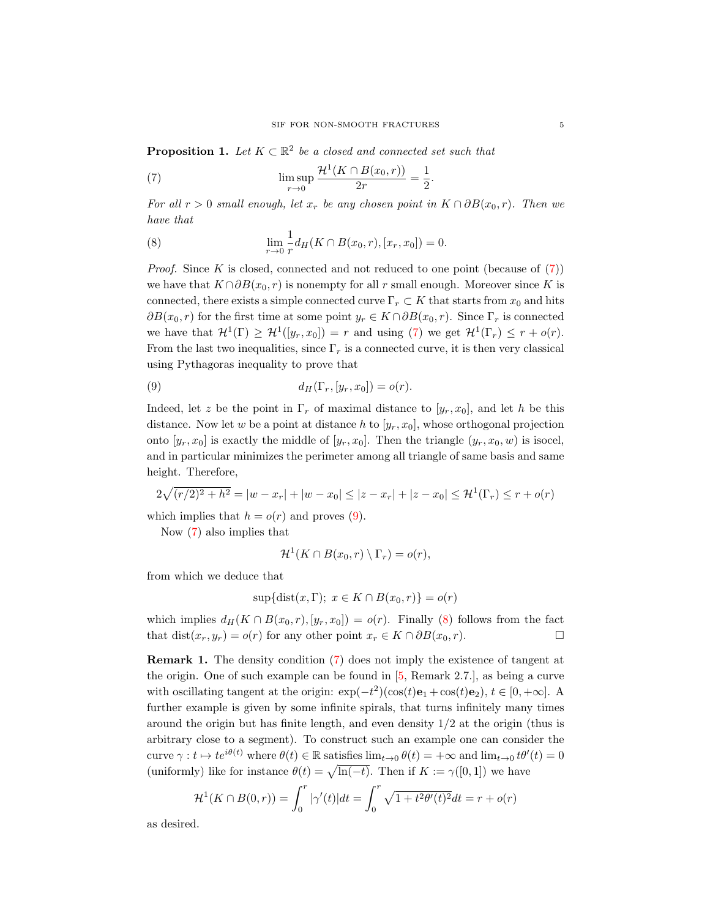**Proposition 1.** Let  $K \subset \mathbb{R}^2$  be a closed and connected set such that

<span id="page-4-0"></span>(7) 
$$
\limsup_{r \to 0} \frac{\mathcal{H}^1(K \cap B(x_0, r))}{2r} = \frac{1}{2}.
$$

For all  $r > 0$  small enough, let  $x_r$  be any chosen point in  $K \cap \partial B(x_0, r)$ . Then we have that

<span id="page-4-2"></span>(8) 
$$
\lim_{r \to 0} \frac{1}{r} d_H(K \cap B(x_0, r), [x_r, x_0]) = 0.
$$

*Proof.* Since K is closed, connected and not reduced to one point (because of  $(7)$ ) we have that  $K \cap \partial B(x_0, r)$  is nonempty for all r small enough. Moreover since K is connected, there exists a simple connected curve  $\Gamma_r \subset K$  that starts from  $x_0$  and hits  $\partial B(x_0, r)$  for the first time at some point  $y_r \in K \cap \partial B(x_0, r)$ . Since  $\Gamma_r$  is connected we have that  $\mathcal{H}^1(\Gamma) \geq \mathcal{H}^1([y_r, x_0]) = r$  and using [\(7\)](#page-4-0) we get  $\mathcal{H}^1(\Gamma_r) \leq r + o(r)$ . From the last two inequalities, since  $\Gamma_r$  is a connected curve, it is then very classical using Pythagoras inequality to prove that

<span id="page-4-1"></span>(9) 
$$
d_H(\Gamma_r,[y_r,x_0])=o(r).
$$

Indeed, let z be the point in  $\Gamma_r$  of maximal distance to  $[y_r, x_0]$ , and let h be this distance. Now let w be a point at distance h to  $[y_r, x_0]$ , whose orthogonal projection onto  $[y_r, x_0]$  is exactly the middle of  $[y_r, x_0]$ . Then the triangle  $(y_r, x_0, w)$  is isocel, and in particular minimizes the perimeter among all triangle of same basis and same height. Therefore,

$$
2\sqrt{(r/2)^2 + h^2} = |w - x_r| + |w - x_0| \le |z - x_r| + |z - x_0| \le \mathcal{H}^1(\Gamma_r) \le r + o(r)
$$

which implies that  $h = o(r)$  and proves [\(9\)](#page-4-1).

Now [\(7\)](#page-4-0) also implies that

$$
\mathcal{H}^1(K \cap B(x_0,r) \setminus \Gamma_r) = o(r),
$$

from which we deduce that

$$
\sup\{\text{dist}(x,\Gamma); \ x \in K \cap B(x_0,r)\} = o(r)
$$

which implies  $d_H(K \cap B(x_0, r), [y_r, x_0]) = o(r)$ . Finally [\(8\)](#page-4-2) follows from the fact that dist $(x_r, y_r) = o(r)$  for any other point  $x_r \in K \cap \partial B(x_0, r)$ .

Remark 1. The density condition [\(7\)](#page-4-0) does not imply the existence of tangent at the origin. One of such example can be found in [\[5,](#page-23-9) Remark 2.7.], as being a curve with oscillating tangent at the origin:  $\exp(-t^2)(\cos(t)\mathbf{e}_1 + \cos(t)\mathbf{e}_2), t \in [0, +\infty]$ . A further example is given by some infinite spirals, that turns infinitely many times around the origin but has finite length, and even density  $1/2$  at the origin (thus is arbitrary close to a segment). To construct such an example one can consider the curve  $\gamma : t \mapsto te^{i\theta(t)}$  where  $\theta(t) \in \mathbb{R}$  satisfies  $\lim_{t\to 0} \theta(t) = +\infty$  and  $\lim_{t\to 0} t\theta'(t) = 0$ (uniformly) like for instance  $\theta(t) = \sqrt{\ln(-t)}$ . Then if  $K := \gamma([0, 1])$  we have

$$
\mathcal{H}^{1}(K \cap B(0,r)) = \int_{0}^{r} |\gamma'(t)|dt = \int_{0}^{r} \sqrt{1 + t^{2} \theta'(t)^{2}} dt = r + o(r)
$$

as desired.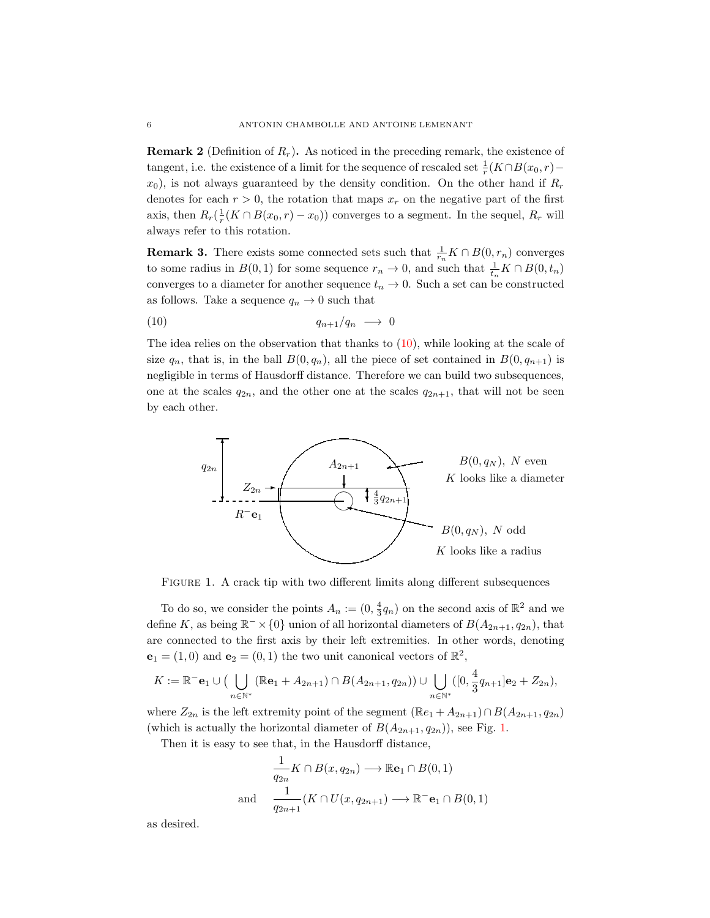<span id="page-5-0"></span>**Remark 2** (Definition of  $R_r$ ). As noticed in the preceding remark, the existence of tangent, i.e. the existence of a limit for the sequence of rescaled set  $\frac{1}{r}(K \cap B(x_0, r)$  $x_0$ ), is not always guaranteed by the density condition. On the other hand if  $R_r$ denotes for each  $r > 0$ , the rotation that maps  $x_r$  on the negative part of the first axis, then  $R_r(\frac{1}{r}(K \cap B(x_0, r) - x_0))$  converges to a segment. In the sequel,  $R_r$  will always refer to this rotation.

<span id="page-5-3"></span>**Remark 3.** There exists some connected sets such that  $\frac{1}{r_n}K \cap B(0,r_n)$  converges to some radius in  $B(0, 1)$  for some sequence  $r_n \to 0$ , and such that  $\frac{1}{t_n} K \cap B(0, t_n)$ converges to a diameter for another sequence  $t_n \to 0$ . Such a set can be constructed as follows. Take a sequence  $q_n \to 0$  such that

<span id="page-5-1"></span>
$$
(10) \t\t q_{n+1}/q_n \longrightarrow 0
$$

The idea relies on the observation that thanks to [\(10\)](#page-5-1), while looking at the scale of size  $q_n$ , that is, in the ball  $B(0, q_n)$ , all the piece of set contained in  $B(0, q_{n+1})$  is negligible in terms of Hausdorff distance. Therefore we can build two subsequences, one at the scales  $q_{2n}$ , and the other one at the scales  $q_{2n+1}$ , that will not be seen by each other.



<span id="page-5-2"></span>FIGURE 1. A crack tip with two different limits along different subsequences

To do so, we consider the points  $A_n := (0, \frac{4}{3}q_n)$  on the second axis of  $\mathbb{R}^2$  and we define K, as being  $\mathbb{R}^- \times \{0\}$  union of all horizontal diameters of  $B(A_{2n+1}, q_{2n})$ , that are connected to the first axis by their left extremities. In other words, denoting  $\mathbf{e}_1 = (1,0)$  and  $\mathbf{e}_2 = (0,1)$  the two unit canonical vectors of  $\mathbb{R}^2$ ,

$$
K:=\mathbb{R}^{-}\mathbf{e}_1\cup\big(\bigcup_{n\in\mathbb{N}^*}(\mathbb{R}\mathbf{e}_1+A_{2n+1})\cap B(A_{2n+1},q_{2n})\big)\cup\bigcup_{n\in\mathbb{N}^*}([0,\frac{4}{3}q_{n+1}]\mathbf{e}_2+Z_{2n}),
$$

where  $Z_{2n}$  is the left extremity point of the segment  $(\mathbb{R}e_1 + A_{2n+1}) \cap B(A_{2n+1}, q_{2n})$ (which is actually the horizontal diameter of  $B(A_{2n+1}, q_{2n})$ ), see Fig. [1.](#page-5-2)

Then it is easy to see that, in the Hausdorff distance,

<span id="page-5-4"></span>
$$
\frac{1}{q_{2n}} K \cap B(x, q_{2n}) \longrightarrow \mathbb{R}e_1 \cap B(0, 1)
$$
  
and 
$$
\frac{1}{q_{2n+1}} (K \cap U(x, q_{2n+1}) \longrightarrow \mathbb{R}^-e_1 \cap B(0, 1)
$$

as desired.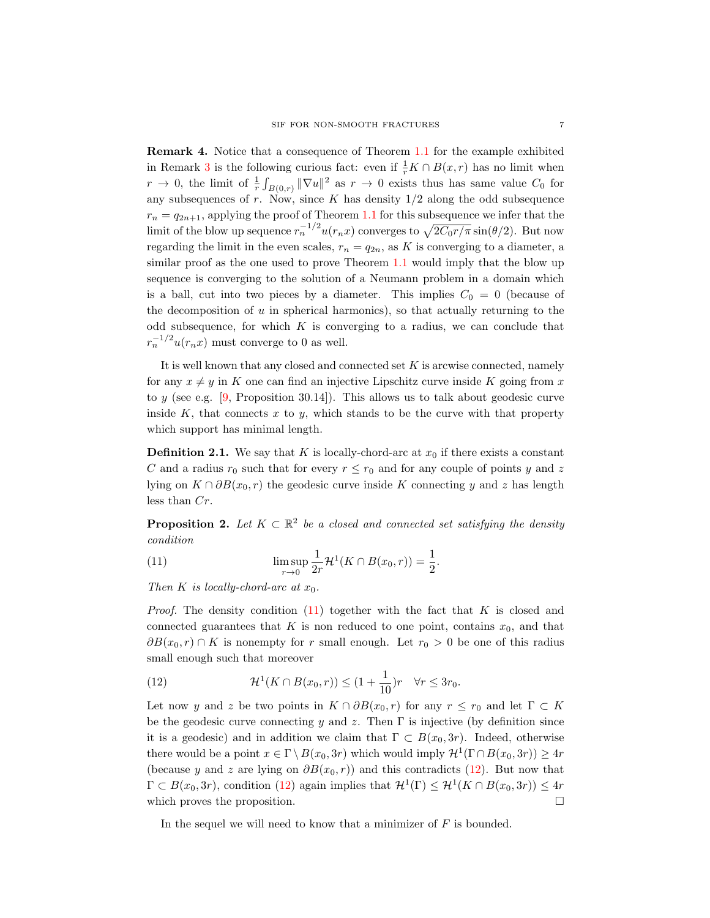Remark 4. Notice that a consequence of Theorem [1.1](#page-2-0) for the example exhibited in Remark [3](#page-5-3) is the following curious fact: even if  $\frac{1}{r}K \cap B(x,r)$  has no limit when  $r \to 0$ , the limit of  $\frac{1}{r} \int_{B(0,r)} ||\nabla u||^2$  as  $r \to 0$  exists thus has same value  $C_0$  for any subsequences of r. Now, since K has density  $1/2$  along the odd subsequence  $r_n = q_{2n+1}$ , applying the proof of Theorem [1.1](#page-2-0) for this subsequence we infer that the limit of the blow up sequence  $r_n^{-1/2} u(r_n x)$  converges to  $\sqrt{2C_0 r/\pi} \sin(\theta/2)$ . But now regarding the limit in the even scales,  $r_n = q_{2n}$ , as K is converging to a diameter, a similar proof as the one used to prove Theorem [1.1](#page-2-0) would imply that the blow up sequence is converging to the solution of a Neumann problem in a domain which is a ball, cut into two pieces by a diameter. This implies  $C_0 = 0$  (because of the decomposition of  $u$  in spherical harmonics), so that actually returning to the odd subsequence, for which  $K$  is converging to a radius, we can conclude that  $r_n^{-1/2}u(r_nx)$  must converge to 0 as well.

It is well known that any closed and connected set  $K$  is arcwise connected, namely for any  $x \neq y$  in K one can find an injective Lipschitz curve inside K going from x to y (see e.g.  $[9,$  Proposition 30.14]). This allows us to talk about geodesic curve inside K, that connects  $x$  to  $y$ , which stands to be the curve with that property which support has minimal length.

**Definition 2.1.** We say that K is locally-chord-arc at  $x_0$  if there exists a constant C and a radius  $r_0$  such that for every  $r \leq r_0$  and for any couple of points y and z lying on  $K \cap \partial B(x_0, r)$  the geodesic curve inside K connecting y and z has length less than Cr.

**Proposition 2.** Let  $K \subset \mathbb{R}^2$  be a closed and connected set satisfying the density condition

(11) 
$$
\limsup_{r \to 0} \frac{1}{2r} \mathcal{H}^1(K \cap B(x_0, r)) = \frac{1}{2}.
$$

Then K is locally-chord-arc at  $x_0$ .

*Proof.* The density condition  $(11)$  together with the fact that K is closed and connected guarantees that K is non reduced to one point, contains  $x_0$ , and that  $\partial B(x_0, r) \cap K$  is nonempty for r small enough. Let  $r_0 > 0$  be one of this radius small enough such that moreover

<span id="page-6-0"></span>(12) 
$$
\mathcal{H}^1(K \cap B(x_0, r)) \le (1 + \frac{1}{10})r \quad \forall r \le 3r_0.
$$

Let now y and z be two points in  $K \cap \partial B(x_0, r)$  for any  $r \leq r_0$  and let  $\Gamma \subset K$ be the geodesic curve connecting y and z. Then  $\Gamma$  is injective (by definition since it is a geodesic) and in addition we claim that  $\Gamma \subset B(x_0, 3r)$ . Indeed, otherwise there would be a point  $x \in \Gamma \setminus B(x_0, 3r)$  which would imply  $\mathcal{H}^1(\Gamma \cap B(x_0, 3r)) \ge 4r$ (because y and z are lying on  $\partial B(x_0, r)$ ) and this contradicts [\(12\)](#page-6-0). But now that  $\Gamma \subset B(x_0, 3r)$ , condition [\(12\)](#page-6-0) again implies that  $\mathcal{H}^1(\Gamma) \leq \mathcal{H}^1(K \cap B(x_0, 3r)) \leq 4r$ which proves the proposition.  $\Box$ 

In the sequel we will need to know that a minimizer of  $F$  is bounded.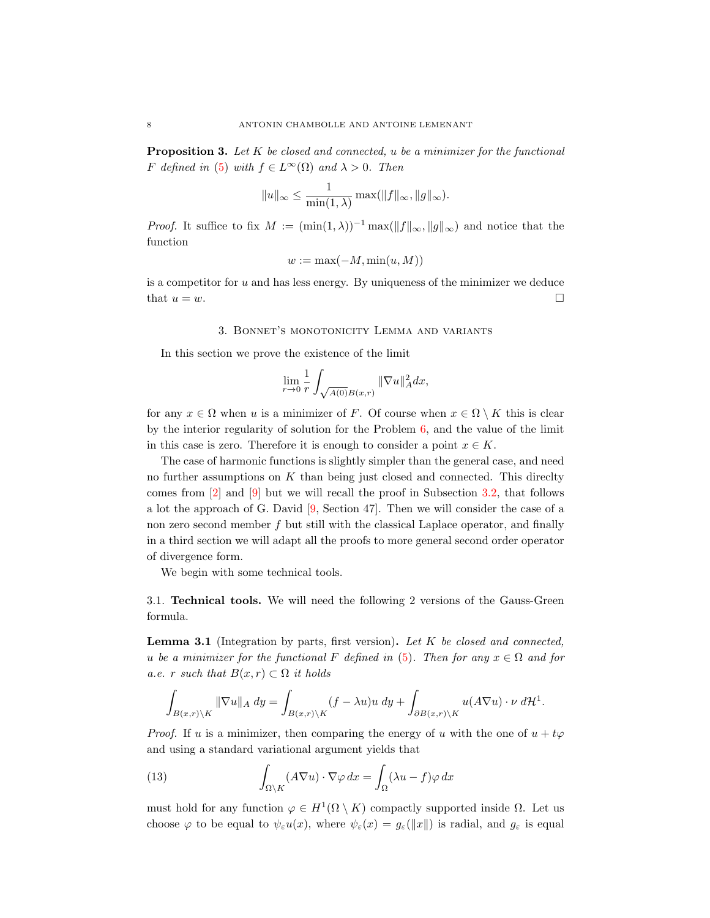**Proposition 3.** Let  $K$  be closed and connected, u be a minimizer for the functional F defined in [\(5\)](#page-3-2) with  $f \in L^{\infty}(\Omega)$  and  $\lambda > 0$ . Then

$$
||u||_{\infty} \le \frac{1}{\min(1,\lambda)} \max(||f||_{\infty}, ||g||_{\infty}).
$$

*Proof.* It suffice to fix  $M := (\min(1, \lambda))^{-1} \max(||f||_{\infty}, ||g||_{\infty})$  and notice that the function

$$
w := \max(-M, \min(u, M))
$$

is a competitor for  $u$  and has less energy. By uniqueness of the minimizer we deduce that  $u = w$ .

#### 3. Bonnet's monotonicity Lemma and variants

<span id="page-7-0"></span>In this section we prove the existence of the limit

$$
\lim_{r \to 0} \frac{1}{r} \int_{\sqrt{A(0)}B(x,r)} \|\nabla u\|_{A}^{2} dx,
$$

for any  $x \in \Omega$  when u is a minimizer of F. Of course when  $x \in \Omega \setminus K$  this is clear by the interior regularity of solution for the Problem [6,](#page-3-1) and the value of the limit in this case is zero. Therefore it is enough to consider a point  $x \in K$ .

The case of harmonic functions is slightly simpler than the general case, and need no further assumptions on  $K$  than being just closed and connected. This directly comes from [\[2\]](#page-23-0) and [\[9\]](#page-23-14) but we will recall the proof in Subsection [3.2,](#page-9-0) that follows a lot the approach of G. David [\[9,](#page-23-14) Section 47]. Then we will consider the case of a non zero second member f but still with the classical Laplace operator, and finally in a third section we will adapt all the proofs to more general second order operator of divergence form.

We begin with some technical tools.

3.1. Technical tools. We will need the following 2 versions of the Gauss-Green formula.

<span id="page-7-2"></span>**Lemma 3.1** (Integration by parts, first version). Let  $K$  be closed and connected, u be a minimizer for the functional F defined in [\(5\)](#page-3-2). Then for any  $x \in \Omega$  and for a.e. r such that  $B(x, r) \subset \Omega$  it holds

$$
\int_{B(x,r)\backslash K} \|\nabla u\|_{A} dy = \int_{B(x,r)\backslash K} (f - \lambda u)u dy + \int_{\partial B(x,r)\backslash K} u(A\nabla u) \cdot \nu d\mathcal{H}^{1}.
$$

*Proof.* If u is a minimizer, then comparing the energy of u with the one of  $u + t\varphi$ and using a standard variational argument yields that

<span id="page-7-1"></span>(13) 
$$
\int_{\Omega \setminus K} (A \nabla u) \cdot \nabla \varphi \, dx = \int_{\Omega} (\lambda u - f) \varphi \, dx
$$

must hold for any function  $\varphi \in H^1(\Omega \setminus K)$  compactly supported inside  $\Omega$ . Let us choose  $\varphi$  to be equal to  $\psi_{\varepsilon}u(x)$ , where  $\psi_{\varepsilon}(x) = g_{\varepsilon}(\Vert x \Vert)$  is radial, and  $g_{\varepsilon}$  is equal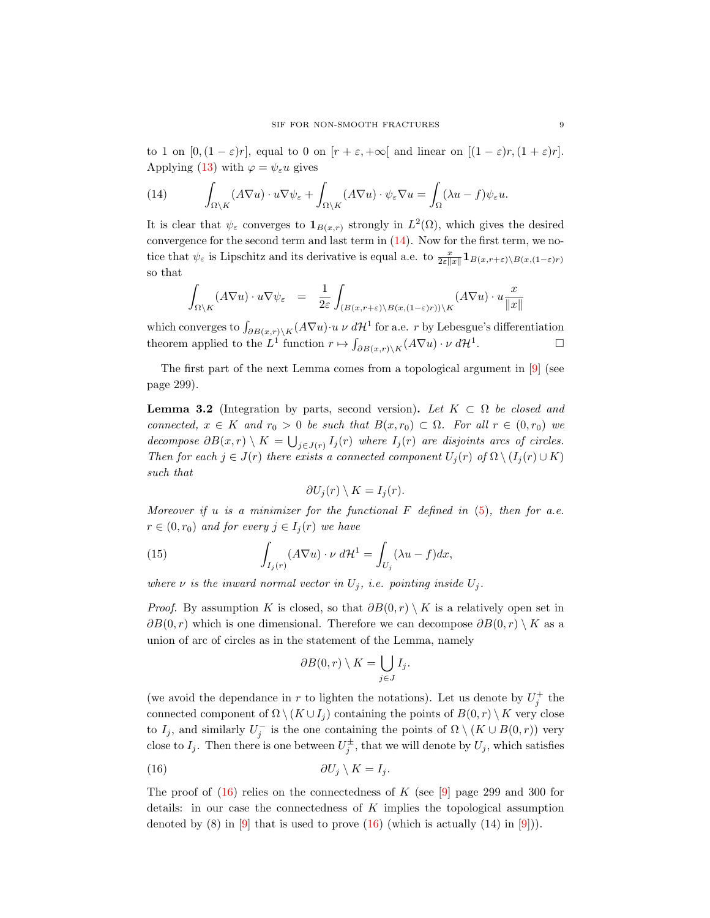to 1 on  $[0,(1-\varepsilon)r]$ , equal to 0 on  $[r+\varepsilon,+\infty]$  and linear on  $[(1-\varepsilon)r,(1+\varepsilon)r]$ . Applying [\(13\)](#page-7-1) with  $\varphi = \psi_{\varepsilon} u$  gives

<span id="page-8-0"></span>(14) 
$$
\int_{\Omega \setminus K} (A \nabla u) \cdot u \nabla \psi_{\varepsilon} + \int_{\Omega \setminus K} (A \nabla u) \cdot \psi_{\varepsilon} \nabla u = \int_{\Omega} (\lambda u - f) \psi_{\varepsilon} u.
$$

It is clear that  $\psi_{\varepsilon}$  converges to  $\mathbf{1}_{B(x,r)}$  strongly in  $L^2(\Omega)$ , which gives the desired convergence for the second term and last term in  $(14)$ . Now for the first term, we notice that  $\psi_{\varepsilon}$  is Lipschitz and its derivative is equal a.e. to  $\frac{x}{2\varepsilon\|x\|}\mathbf{1}_{B(x,r+\varepsilon)\setminus B(x,(1-\varepsilon)r)}$ so that

<span id="page-8-2"></span>
$$
\int_{\Omega \setminus K} (A \nabla u) \cdot u \nabla \psi_{\varepsilon} = \frac{1}{2\varepsilon} \int_{(B(x, r + \varepsilon) \setminus B(x, (1 - \varepsilon)r)) \setminus K} (A \nabla u) \cdot u \frac{x}{\Vert x \Vert}
$$

which converges to  $\int_{\partial B(x,r)\backslash K}(A\nabla u)\cdot u \nu d\mathcal{H}^1$  for a.e. r by Lebesgue's differentiation theorem applied to the  $L^1$  function  $r \mapsto \int_{\partial B(x,r)\backslash K}(A\nabla u) \cdot \nu \, d\mathcal{H}^1$ .

The first part of the next Lemma comes from a topological argument in [\[9\]](#page-23-14) (see page 299).

<span id="page-8-3"></span>**Lemma 3.2** (Integration by parts, second version). Let  $K \subset \Omega$  be closed and connected,  $x \in K$  and  $r_0 > 0$  be such that  $B(x, r_0) \subset \Omega$ . For all  $r \in (0, r_0)$  we decompose  $\partial B(x,r) \setminus K = \bigcup_{j \in J(r)} I_j(r)$  where  $I_j(r)$  are disjoints arcs of circles. Then for each  $j \in J(r)$  there exists a connected component  $U_j(r)$  of  $\Omega \setminus (I_j(r) \cup K)$ such that

$$
\partial U_j(r) \setminus K = I_j(r).
$$

Moreover if u is a minimizer for the functional  $F$  defined in [\(5\)](#page-3-2), then for a.e.  $r \in (0, r_0)$  and for every  $j \in I_i(r)$  we have

(15) 
$$
\int_{I_j(r)} (A\nabla u) \cdot \nu \, d\mathcal{H}^1 = \int_{U_j} (\lambda u - f) dx,
$$

where  $\nu$  is the inward normal vector in  $U_i$ , i.e. pointing inside  $U_i$ .

*Proof.* By assumption K is closed, so that  $\partial B(0, r) \setminus K$  is a relatively open set in  $\partial B(0, r)$  which is one dimensional. Therefore we can decompose  $\partial B(0, r) \setminus K$  as a union of arc of circles as in the statement of the Lemma, namely

<span id="page-8-1"></span>
$$
\partial B(0,r) \setminus K = \bigcup_{j \in J} I_j.
$$

(we avoid the dependance in r to lighten the notations). Let us denote by  $U_j^+$  the connected component of  $\Omega \setminus (K \cup I_i)$  containing the points of  $B(0,r) \setminus K$  very close to  $I_j$ , and similarly  $U_j^-$  is the one containing the points of  $\Omega \setminus (K \cup B(0,r))$  very close to  $I_j$ . Then there is one between  $U_j^{\pm}$ , that we will denote by  $U_j$ , which satisfies

$$
\partial U_j \setminus K = I_j.
$$

The proof of  $(16)$  relies on the connectedness of K (see [\[9\]](#page-23-14) page 299 and 300 for details: in our case the connectedness of  $K$  implies the topological assumption denoted by  $(8)$  in  $[9]$  that is used to prove  $(16)$  (which is actually  $(14)$  in  $[9]$ )).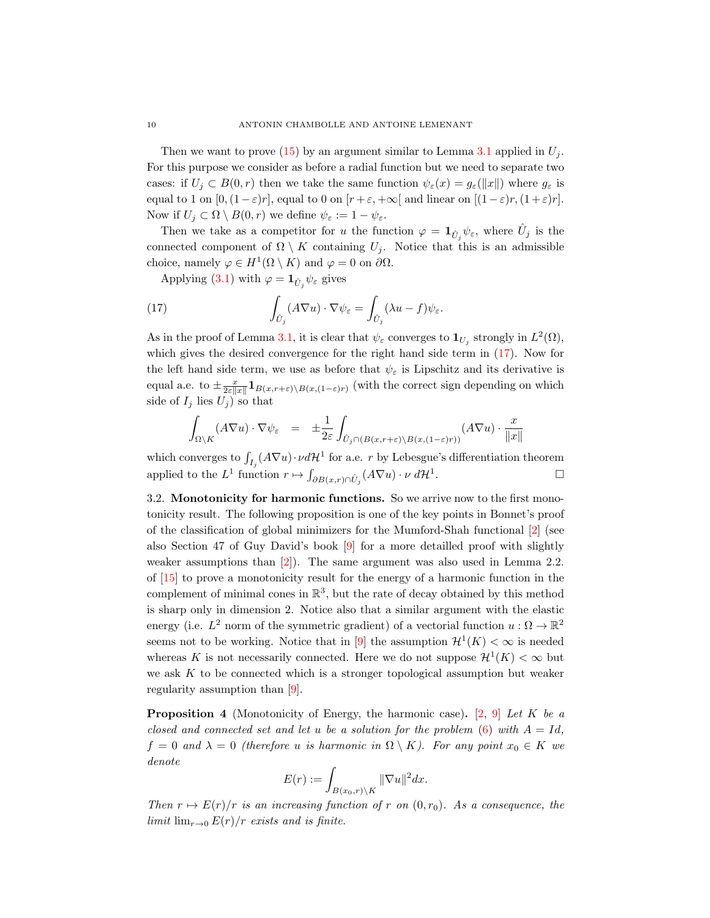Then we want to prove [\(15\)](#page-8-2) by an argument similar to Lemma [3.1](#page-7-2) applied in  $U_i$ . For this purpose we consider as before a radial function but we need to separate two cases: if  $U_j \subset B(0,r)$  then we take the same function  $\psi_{\varepsilon}(x) = g_{\varepsilon}(\Vert x \Vert)$  where  $g_{\varepsilon}$  is equal to 1 on  $[0,(1-\varepsilon)r]$ , equal to 0 on  $[r+\varepsilon,+\infty]$  and linear on  $[(1-\varepsilon)r,(1+\varepsilon)r]$ . Now if  $U_j \subset \Omega \setminus B(0,r)$  we define  $\psi_{\varepsilon} := 1 - \psi_{\varepsilon}$ .

Then we take as a competitor for u the function  $\varphi = \mathbf{1}_{\hat{U}_j} \psi_{\varepsilon}$ , where  $\hat{U}_j$  is the connected component of  $\Omega \setminus K$  containing  $U_j$ . Notice that this is an admissible choice, namely  $\varphi \in H^1(\Omega \setminus K)$  and  $\varphi = 0$  on  $\partial \Omega$ .

<span id="page-9-1"></span>Applying [\(3.1\)](#page-7-2) with  $\varphi = \mathbf{1}_{\hat{U}_j} \psi_{\varepsilon}$  gives

(17) 
$$
\int_{\hat{U}_j} (A \nabla u) \cdot \nabla \psi_{\varepsilon} = \int_{\hat{U}_j} (\lambda u - f) \psi_{\varepsilon}.
$$

As in the proof of Lemma [3.1,](#page-7-2) it is clear that  $\psi_{\varepsilon}$  converges to  $\mathbf{1}_{U_j}$  strongly in  $L^2(\Omega)$ , which gives the desired convergence for the right hand side term in  $(17)$ . Now for the left hand side term, we use as before that  $\psi_{\varepsilon}$  is Lipschitz and its derivative is equal a.e. to  $\pm \frac{x}{2\varepsilon \|x\|} \mathbf{1}_{B(x,r+\varepsilon)\setminus B(x,(1-\varepsilon)r)}$  (with the correct sign depending on which side of  $I_j$  lies  $U_j$ ) so that

<span id="page-9-2"></span>
$$
\int_{\Omega \setminus K} (A \nabla u) \cdot \nabla \psi_{\varepsilon} = \pm \frac{1}{2\varepsilon} \int_{\hat{U}_j \cap (B(x, r + \varepsilon) \setminus B(x, (1 - \varepsilon)r))} (A \nabla u) \cdot \frac{x}{\|x\|}
$$

which converges to  $\int_{I_j}(A\nabla u)\cdot \nu d{\cal H}^1$  for a.e. r by Lebesgue's differentiation theorem applied to the  $L^1$  function  $r \mapsto \int_{\partial B(x,r) \cap \hat{U}_j} (A \nabla u) \cdot \nu \, d\mathcal{H}^1$ .

<span id="page-9-0"></span>3.2. Monotonicity for harmonic functions. So we arrive now to the first monotonicity result. The following proposition is one of the key points in Bonnet's proof of the classification of global minimizers for the Mumford-Shah functional [\[2\]](#page-23-0) (see also Section 47 of Guy David's book [\[9\]](#page-23-14) for a more detailled proof with slightly weaker assumptions than [\[2\]](#page-23-0)). The same argument was also used in Lemma 2.2. of [\[15\]](#page-23-15) to prove a monotonicity result for the energy of a harmonic function in the complement of minimal cones in  $\mathbb{R}^3$ , but the rate of decay obtained by this method is sharp only in dimension 2. Notice also that a similar argument with the elastic energy (i.e.  $L^2$  norm of the symmetric gradient) of a vectorial function  $u : \Omega \to \mathbb{R}^2$ seems not to be working. Notice that in [\[9\]](#page-23-14) the assumption  $\mathcal{H}^1(K) < \infty$  is needed whereas K is not necessarily connected. Here we do not suppose  $\mathcal{H}^1(K) < \infty$  but we ask  $K$  to be connected which is a stronger topological assumption but weaker regularity assumption than [\[9\]](#page-23-14).

<span id="page-9-3"></span>**Proposition 4** (Monotonicity of Energy, the harmonic case). [\[2,](#page-23-0) [9\]](#page-23-14) Let K be a closed and connected set and let u be a solution for the problem  $(6)$  with  $A = Id$ ,  $f = 0$  and  $\lambda = 0$  (therefore u is harmonic in  $\Omega \setminus K$ ). For any point  $x_0 \in K$  we denote

$$
E(r) := \int_{B(x_0,r)\setminus K} ||\nabla u||^2 dx.
$$

Then  $r \mapsto E(r)/r$  is an increasing function of r on  $(0, r_0)$ . As a consequence, the limit  $\lim_{r\to 0} E(r)/r$  exists and is finite.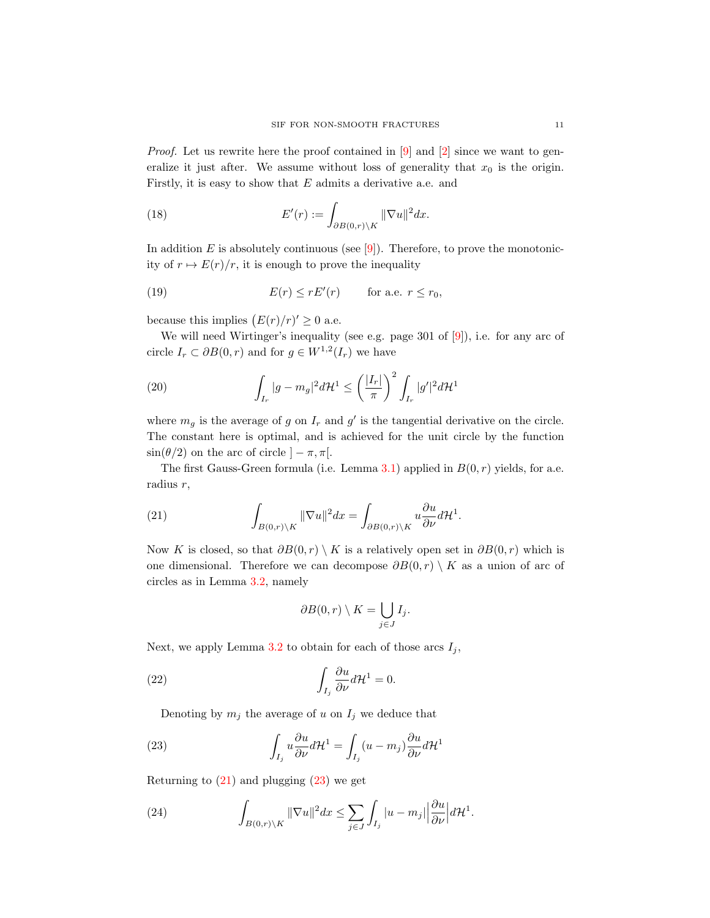*Proof.* Let us rewrite here the proof contained in  $[9]$  and  $[2]$  since we want to generalize it just after. We assume without loss of generality that  $x_0$  is the origin. Firstly, it is easy to show that  $E$  admits a derivative a.e. and

(18) 
$$
E'(r) := \int_{\partial B(0,r)\backslash K} ||\nabla u||^2 dx.
$$

In addition  $E$  is absolutely continuous (see  $[9]$ ). Therefore, to prove the monotonicity of  $r \mapsto E(r)/r$ , it is enough to prove the inequality

<span id="page-10-3"></span>(19) 
$$
E(r) \le rE'(r) \quad \text{for a.e. } r \le r_0,
$$

because this implies  $(E(r)/r)' \geq 0$  a.e.

We will need Wirtinger's inequality (see e.g. page 301 of [\[9\]](#page-23-14)), i.e. for any arc of circle  $I_r \subset \partial B(0,r)$  and for  $g \in W^{1,2}(I_r)$  we have

(20) 
$$
\int_{I_r} |g - m_g|^2 d\mathcal{H}^1 \le \left(\frac{|I_r|}{\pi}\right)^2 \int_{I_r} |g'|^2 d\mathcal{H}^1
$$

where  $m_g$  is the average of g on  $I_r$  and g' is the tangential derivative on the circle. The constant here is optimal, and is achieved for the unit circle by the function  $\sin(\theta/2)$  on the arc of circle  $]-\pi, \pi[$ .

The first Gauss-Green formula (i.e. Lemma [3.1\)](#page-7-2) applied in  $B(0, r)$  yields, for a.e. radius r,

<span id="page-10-0"></span>(21) 
$$
\int_{B(0,r)\backslash K} \|\nabla u\|^2 dx = \int_{\partial B(0,r)\backslash K} u \frac{\partial u}{\partial \nu} d\mathcal{H}^1.
$$

Now K is closed, so that  $\partial B(0,r) \setminus K$  is a relatively open set in  $\partial B(0,r)$  which is one dimensional. Therefore we can decompose  $\partial B(0, r) \setminus K$  as a union of arc of circles as in Lemma [3.2,](#page-8-3) namely

$$
\partial B(0,r) \setminus K = \bigcup_{j \in J} I_j.
$$

Next, we apply Lemma [3.2](#page-8-3) to obtain for each of those arcs  $I_j$ ,

(22) 
$$
\int_{I_j} \frac{\partial u}{\partial \nu} d\mathcal{H}^1 = 0.
$$

<span id="page-10-1"></span>Denoting by  $m_j$  the average of u on  $I_j$  we deduce that

(23) 
$$
\int_{I_j} u \frac{\partial u}{\partial \nu} d\mathcal{H}^1 = \int_{I_j} (u - m_j) \frac{\partial u}{\partial \nu} d\mathcal{H}^1
$$

Returning to  $(21)$  and plugging  $(23)$  we get

<span id="page-10-2"></span>(24) 
$$
\int_{B(0,r)\backslash K} \|\nabla u\|^2 dx \leq \sum_{j\in J} \int_{I_j} |u - m_j| \left|\frac{\partial u}{\partial \nu}\right| d\mathcal{H}^1.
$$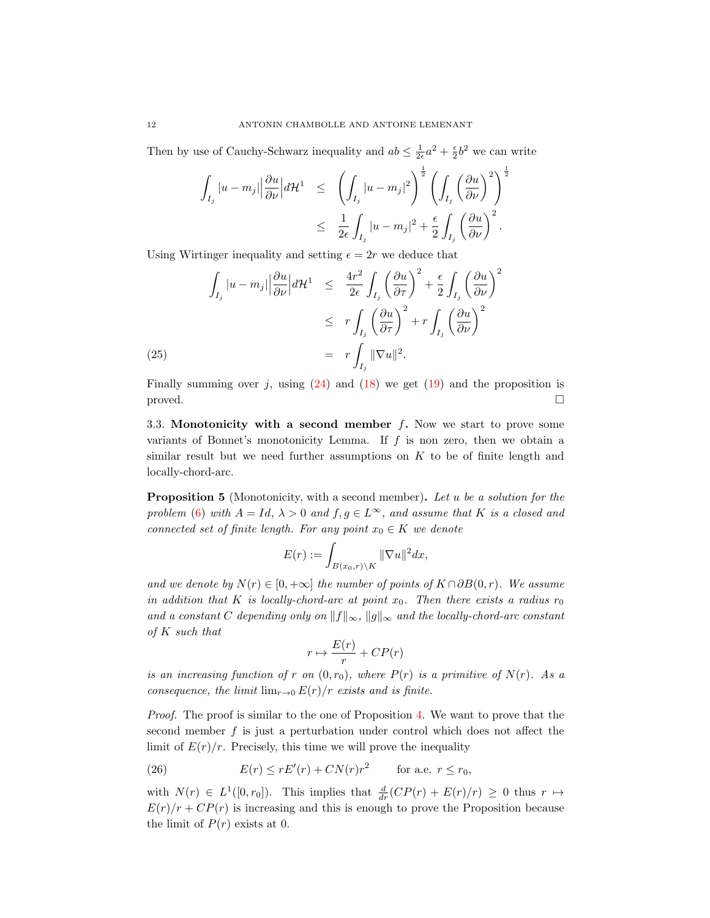Then by use of Cauchy-Schwarz inequality and  $ab \leq \frac{1}{2\epsilon}a^2 + \frac{\epsilon}{2}b^2$  we can write

<span id="page-11-0"></span>
$$
\int_{I_j} |u - m_j| \left| \frac{\partial u}{\partial \nu} \right| d\mathcal{H}^1 \le \left( \int_{I_j} |u - m_j|^2 \right)^{\frac{1}{2}} \left( \int_{I_j} \left( \frac{\partial u}{\partial \nu} \right)^2 \right)^{\frac{1}{2}} \n\le \frac{1}{2\epsilon} \int_{I_j} |u - m_j|^2 + \frac{\epsilon}{2} \int_{I_j} \left( \frac{\partial u}{\partial \nu} \right)^2.
$$

Using Wirtinger inequality and setting  $\epsilon = 2r$  we deduce that

$$
\int_{I_j} |u - m_j| \left| \frac{\partial u}{\partial \nu} \right| d\mathcal{H}^1 \leq \frac{4r^2}{2\epsilon} \int_{I_j} \left( \frac{\partial u}{\partial \tau} \right)^2 + \frac{\epsilon}{2} \int_{I_j} \left( \frac{\partial u}{\partial \nu} \right)^2
$$
  

$$
\leq r \int_{I_j} \left( \frac{\partial u}{\partial \tau} \right)^2 + r \int_{I_j} \left( \frac{\partial u}{\partial \nu} \right)^2
$$
  
(25)  

$$
= r \int_{I_j} ||\nabla u||^2.
$$

Finally summing over j, using  $(24)$  and  $(18)$  we get  $(19)$  and the proposition is  $\Box$ 

3.3. Monotonicity with a second member  $f$ . Now we start to prove some variants of Bonnet's monotonicity Lemma. If  $f$  is non zero, then we obtain a similar result but we need further assumptions on  $K$  to be of finite length and locally-chord-arc.

<span id="page-11-2"></span>**Proposition 5** (Monotonicity, with a second member). Let u be a solution for the problem [\(6\)](#page-3-1) with  $A = Id$ ,  $\lambda > 0$  and  $f, g \in L^{\infty}$ , and assume that K is a closed and connected set of finite length. For any point  $x_0 \in K$  we denote

$$
E(r) := \int_{B(x_0,r)\setminus K} ||\nabla u||^2 dx,
$$

and we denote by  $N(r) \in [0, +\infty]$  the number of points of  $K \cap \partial B(0, r)$ . We assume in addition that K is locally-chord-arc at point  $x_0$ . Then there exists a radius  $r_0$ and a constant C depending only on  $||f||_{\infty}$ ,  $||g||_{\infty}$  and the locally-chord-arc constant of K such that

$$
r \mapsto \frac{E(r)}{r} + CP(r)
$$

is an increasing function of r on  $(0, r_0)$ , where  $P(r)$  is a primitive of  $N(r)$ . As a consequence, the limit  $\lim_{r\to 0} E(r)/r$  exists and is finite.

Proof. The proof is similar to the one of Proposition [4.](#page-9-3) We want to prove that the second member f is just a perturbation under control which does not affect the limit of  $E(r)/r$ . Precisely, this time we will prove the inequality

<span id="page-11-1"></span>(26) 
$$
E(r) \le rE'(r) + CN(r)r^2 \quad \text{for a.e. } r \le r_0,
$$

with  $N(r) \in L^1([0, r_0])$ . This implies that  $\frac{d}{dr}(CP(r) + E(r)/r) \geq 0$  thus  $r \mapsto$  $E(r)/r + CP(r)$  is increasing and this is enough to prove the Proposition because the limit of  $P(r)$  exists at 0.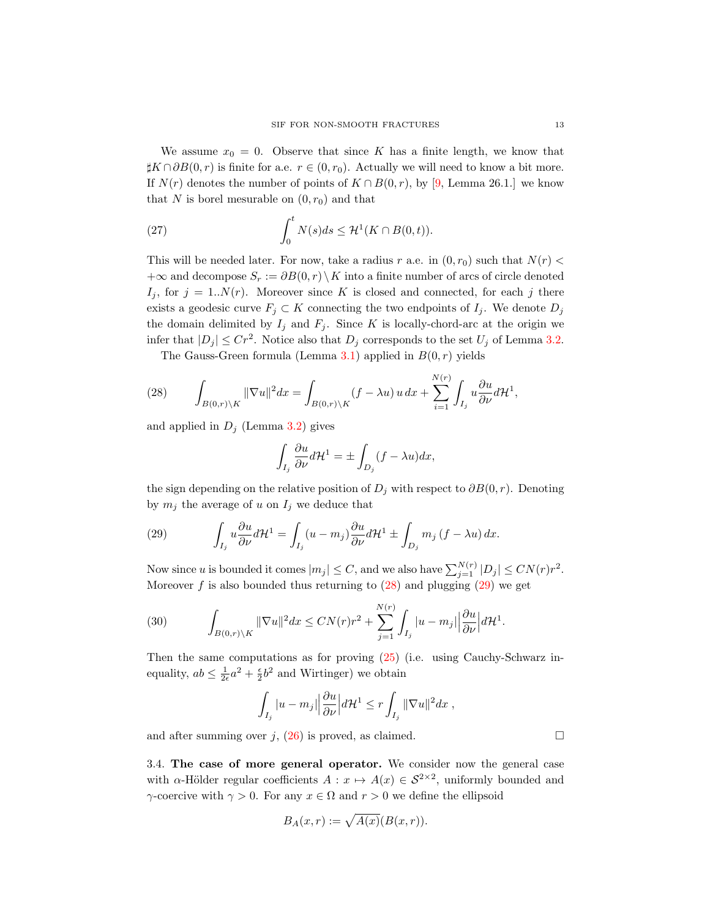We assume  $x_0 = 0$ . Observe that since K has a finite length, we know that  $\sharp K \cap \partial B(0, r)$  is finite for a.e.  $r \in (0, r_0)$ . Actually we will need to know a bit more. If  $N(r)$  denotes the number of points of  $K \cap B(0,r)$ , by [\[9,](#page-23-14) Lemma 26.1.] we know that N is borel mesurable on  $(0, r_0)$  and that

(27) 
$$
\int_0^t N(s)ds \leq \mathcal{H}^1(K \cap B(0,t)).
$$

This will be needed later. For now, take a radius r a.e. in  $(0, r_0)$  such that  $N(r)$  $+\infty$  and decompose  $S_r := \partial B(0,r) \setminus K$  into a finite number of arcs of circle denoted  $I_j$ , for  $j = 1..N(r)$ . Moreover since K is closed and connected, for each j there exists a geodesic curve  $F_j \subset K$  connecting the two endpoints of  $I_j$ . We denote  $D_j$ the domain delimited by  $I_j$  and  $F_j$ . Since K is locally-chord-arc at the origin we infer that  $|D_j| \leq Cr^2$ . Notice also that  $D_j$  corresponds to the set  $U_j$  of Lemma [3.2.](#page-8-3)

<span id="page-12-0"></span>The Gauss-Green formula (Lemma [3.1\)](#page-7-2) applied in  $B(0, r)$  yields

(28) 
$$
\int_{B(0,r)\backslash K} \|\nabla u\|^2 dx = \int_{B(0,r)\backslash K} (f - \lambda u) u dx + \sum_{i=1}^{N(r)} \int_{I_j} u \frac{\partial u}{\partial \nu} d\mathcal{H}^1,
$$

and applied in  $D_j$  (Lemma [3.2\)](#page-8-3) gives

$$
\int_{I_j} \frac{\partial u}{\partial \nu} d\mathcal{H}^1 = \pm \int_{D_j} (f - \lambda u) dx,
$$

the sign depending on the relative position of  $D_j$  with respect to  $\partial B(0, r)$ . Denoting by  $m_i$  the average of u on  $I_i$  we deduce that

<span id="page-12-1"></span>(29) 
$$
\int_{I_j} u \frac{\partial u}{\partial \nu} d\mathcal{H}^1 = \int_{I_j} (u - m_j) \frac{\partial u}{\partial \nu} d\mathcal{H}^1 \pm \int_{D_j} m_j (f - \lambda u) dx.
$$

Now since u is bounded it comes  $|m_j| \leq C$ , and we also have  $\sum_{j=1}^{N(r)} |D_j| \leq CN(r)r^2$ . Moreover  $f$  is also bounded thus returning to  $(28)$  and plugging  $(29)$  we get

(30) 
$$
\int_{B(0,r)\setminus K} \|\nabla u\|^2 dx \le CN(r)r^2 + \sum_{j=1}^{N(r)} \int_{I_j} |u - m_j| \left|\frac{\partial u}{\partial \nu}\right| d\mathcal{H}^1.
$$

Then the same computations as for proving [\(25\)](#page-11-0) (i.e. using Cauchy-Schwarz inequality,  $ab \leq \frac{1}{2\epsilon}a^2 + \frac{\epsilon}{2}b^2$  and Wirtinger) we obtain

<span id="page-12-2"></span>
$$
\int_{I_j} |u - m_j| \left| \frac{\partial u}{\partial \nu} \right| d\mathcal{H}^1 \le r \int_{I_j} ||\nabla u||^2 dx ,
$$

and after summing over j, [\(26\)](#page-11-1) is proved, as claimed.  $\square$ 

3.4. The case of more general operator. We consider now the general case with  $\alpha$ -Hölder regular coefficients  $A: x \mapsto A(x) \in S^{2\times 2}$ , uniformly bounded and γ-coercive with  $\gamma > 0$ . For any  $x \in \Omega$  and  $r > 0$  we define the ellipsoid

$$
B_A(x,r) := \sqrt{A(x)}(B(x,r)).
$$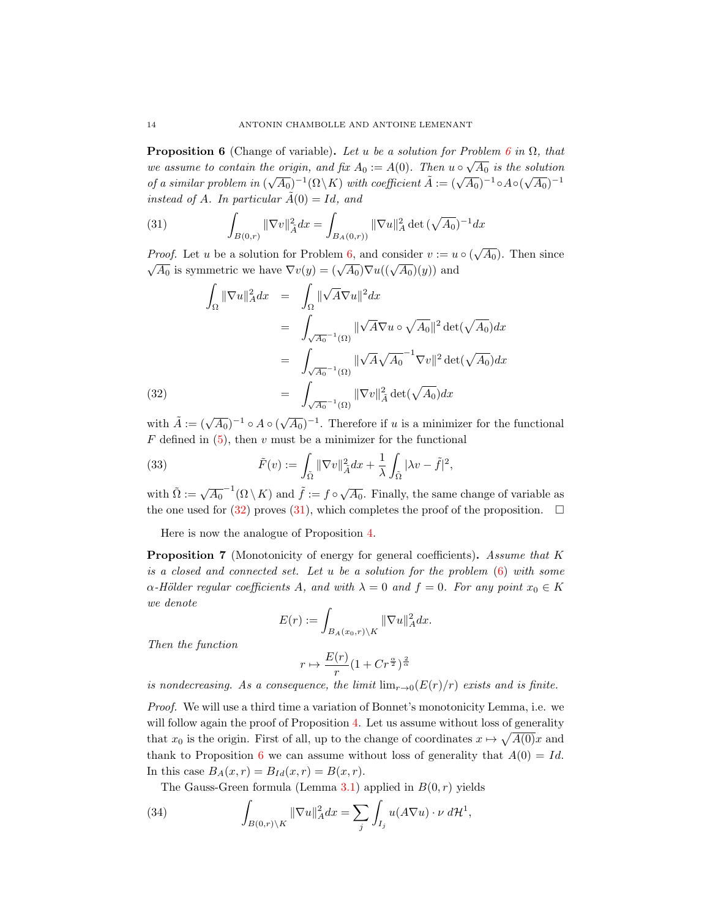<span id="page-13-2"></span>**Proposition [6](#page-3-1)** (Change of variable). Let u be a solution for Problem 6 in  $\Omega$ , that **The position o** (Change of variable). Let u be a solution for 1 following of the selution<br>we assume to contain the origin, and fix  $A_0 := A(0)$ . Then  $u \circ \sqrt{A_0}$  is the solution of a similar problem in  $(\sqrt{A_0})^{-1}(\Omega \backslash K)$  with coefficient  $\tilde{A} := (\sqrt{A_0})^{-1} \circ A \circ (\sqrt{A_0})^{-1}$ instead of A. In particular  $\tilde{A}(0) = Id$ , and

(31) 
$$
\int_{B(0,r)} \|\nabla v\|_{\tilde{A}}^2 dx = \int_{B_A(0,r))} \|\nabla u\|_{A}^2 \det(\sqrt{A_0})^{-1} dx
$$

*Proof.* Let u be a solution for Problem [6,](#page-3-1) and consider  $v := u \circ (\sqrt{A_0})$ . Then since  $\overline{A_0}$  is symmetric we have  $\nabla v(y) = (\sqrt{A_0})\nabla u((\sqrt{A_0})(y))$  and

<span id="page-13-1"></span>(32)  
\n
$$
\int_{\Omega} \|\nabla u\|_{A}^{2} dx = \int_{\Omega} \|\sqrt{A} \nabla u\|^{2} dx
$$
\n
$$
= \int_{\sqrt{A_{0}}^{-1}(\Omega)} \|\sqrt{A} \nabla u \circ \sqrt{A_{0}}\|^{2} \det(\sqrt{A_{0}}) dx
$$
\n
$$
= \int_{\sqrt{A_{0}}^{-1}(\Omega)} \|\sqrt{A} \sqrt{A_{0}}^{-1} \nabla v\|^{2} \det(\sqrt{A_{0}}) dx
$$
\n
$$
= \int_{\sqrt{A_{0}}^{-1}(\Omega)} \|\nabla v\|_{\tilde{A}}^{2} \det(\sqrt{A_{0}}) dx
$$

with  $\tilde{A} := (\sqrt{A_0})^{-1} \circ A \circ (\sqrt{A_0})^{-1}$ . Therefore if u is a minimizer for the functional  $F$  defined in  $(5)$ , then  $v$  must be a minimizer for the functional

(33) 
$$
\tilde{F}(v) := \int_{\tilde{\Omega}} \|\nabla v\|_{\tilde{A}}^2 dx + \frac{1}{\lambda} \int_{\tilde{\Omega}} |\lambda v - \tilde{f}|^2,
$$

with  $\tilde{\Omega} := \sqrt{A_0}^{-1}(\Omega \setminus K)$  and  $\tilde{f} := f \circ \sqrt{A_0}$ . Finally, the same change of variable as the one used for [\(32\)](#page-13-1) proves [\(31\)](#page-12-2), which completes the proof of the proposition.  $\Box$ 

Here is now the analogue of Proposition [4.](#page-9-3)

<span id="page-13-0"></span>Proposition 7 (Monotonicity of energy for general coefficients). Assume that K is a closed and connected set. Let u be a solution for the problem [\(6\)](#page-3-1) with some  $\alpha$ -Hölder regular coefficients A, and with  $\lambda = 0$  and  $f = 0$ . For any point  $x_0 \in K$ we denote

$$
E(r) := \int_{B_A(x_0,r)\backslash K} \|\nabla u\|_A^2 dx.
$$

Then the function

$$
r \mapsto \frac{E(r)}{r} (1 + Cr^{\frac{\alpha}{2}})^{\frac{2}{\alpha}}
$$

is nondecreasing. As a consequence, the limit  $\lim_{r\to 0} (E(r)/r)$  exists and is finite.

Proof. We will use a third time a variation of Bonnet's monotonicity Lemma, i.e. we will follow again the proof of Proposition [4.](#page-9-3) Let us assume without loss of generality that  $x_0$  is the origin. First of all, up to the change of coordinates  $x \mapsto \sqrt{A(0)}x$  and thank to Proposition [6](#page-13-2) we can assume without loss of generality that  $A(0) = Id$ . In this case  $B_A(x,r) = B_{Id}(x,r) = B(x,r)$ .

The Gauss-Green formula (Lemma [3.1\)](#page-7-2) applied in  $B(0, r)$  yields

(34) 
$$
\int_{B(0,r)\backslash K} \|\nabla u\|_A^2 dx = \sum_j \int_{I_j} u(A\nabla u) \cdot \nu d\mathcal{H}^1,
$$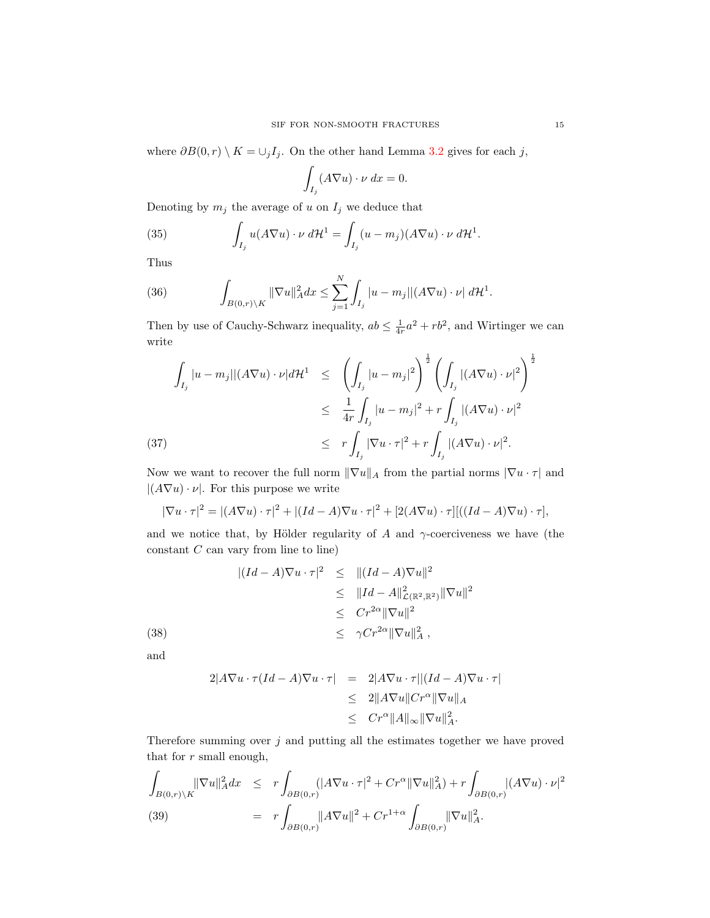where  $\partial B(0,r) \setminus K = \bigcup_j I_j$ . On the other hand Lemma [3.2](#page-8-3) gives for each j,

$$
\int_{I_j} (A \nabla u) \cdot \nu \, dx = 0.
$$

Denoting by  $m_j$  the average of u on  $I_j$  we deduce that

(35) 
$$
\int_{I_j} u(A\nabla u) \cdot \nu \, d\mathcal{H}^1 = \int_{I_j} (u - m_j)(A\nabla u) \cdot \nu \, d\mathcal{H}^1.
$$

Thus

(36) 
$$
\int_{B(0,r)\backslash K} ||\nabla u||_A^2 dx \leq \sum_{j=1}^N \int_{I_j} |u - m_j| |(A\nabla u) \cdot \nu| d\mathcal{H}^1.
$$

Then by use of Cauchy-Schwarz inequality,  $ab \leq \frac{1}{4r}a^2 + rb^2$ , and Wirtinger we can write

$$
\int_{I_j} |u - m_j| |(A\nabla u) \cdot \nu| d\mathcal{H}^1 \le \left( \int_{I_j} |u - m_j|^2 \right)^{\frac{1}{2}} \left( \int_{I_j} |(A\nabla u) \cdot \nu|^2 \right)^{\frac{1}{2}}
$$
  

$$
\le \frac{1}{4r} \int_{I_j} |u - m_j|^2 + r \int_{I_j} |(A\nabla u) \cdot \nu|^2
$$
  
(37)  

$$
\le r \int_{I_j} |\nabla u \cdot \tau|^2 + r \int_{I_j} |(A\nabla u) \cdot \nu|^2.
$$

Now we want to recover the full norm  $\|\nabla u\|_A$  from the partial norms  $|\nabla u \cdot \tau|$  and  $|(A\nabla u)\cdot\nu|$ . For this purpose we write

$$
|\nabla u \cdot \tau|^2 = |(A\nabla u) \cdot \tau|^2 + |(Id - A)\nabla u \cdot \tau|^2 + [2(A\nabla u) \cdot \tau] [((Id - A)\nabla u) \cdot \tau],
$$

and we notice that, by Hölder regularity of A and  $\gamma$ -coerciveness we have (the  $constant\ C$  can vary from line to line)

(38)  
\n
$$
\begin{array}{rcl} |(Id - A)\nabla u \cdot \tau|^2 & \leq & ||(Id - A)\nabla u||^2 \\ & \leq & ||Id - A||^2_{\mathcal{L}(\mathbb{R}^2, \mathbb{R}^2)} ||\nabla u||^2 \\ & \leq & Cr^{2\alpha} ||\nabla u||^2 \\ & \leq & \gamma Cr^{2\alpha} ||\nabla u||^2, \end{array}
$$

and

$$
2|A\nabla u \cdot \tau (Id - A)\nabla u \cdot \tau| = 2|A\nabla u \cdot \tau| |(Id - A)\nabla u \cdot \tau|
$$
  
\n
$$
\leq 2||A\nabla u||Cr^{\alpha}||\nabla u||_A
$$
  
\n
$$
\leq Cr^{\alpha}||A||_{\infty}||\nabla u||_A^2.
$$

Therefore summing over  $j$  and putting all the estimates together we have proved that for  $r$  small enough,

$$
\int_{B(0,r)\backslash K} \|\nabla u\|_{A}^{2} dx \leq r \int_{\partial B(0,r)} (|A\nabla u \cdot \tau|^{2} + Cr^{\alpha} \|\nabla u\|_{A}^{2}) + r \int_{\partial B(0,r)} |(A\nabla u) \cdot \nu|^{2}
$$
\n(39)\n
$$
= r \int_{\partial B(0,r)} \|A\nabla u\|^{2} + Cr^{1+\alpha} \int_{\partial B(0,r)} \|\nabla u\|_{A}^{2}.
$$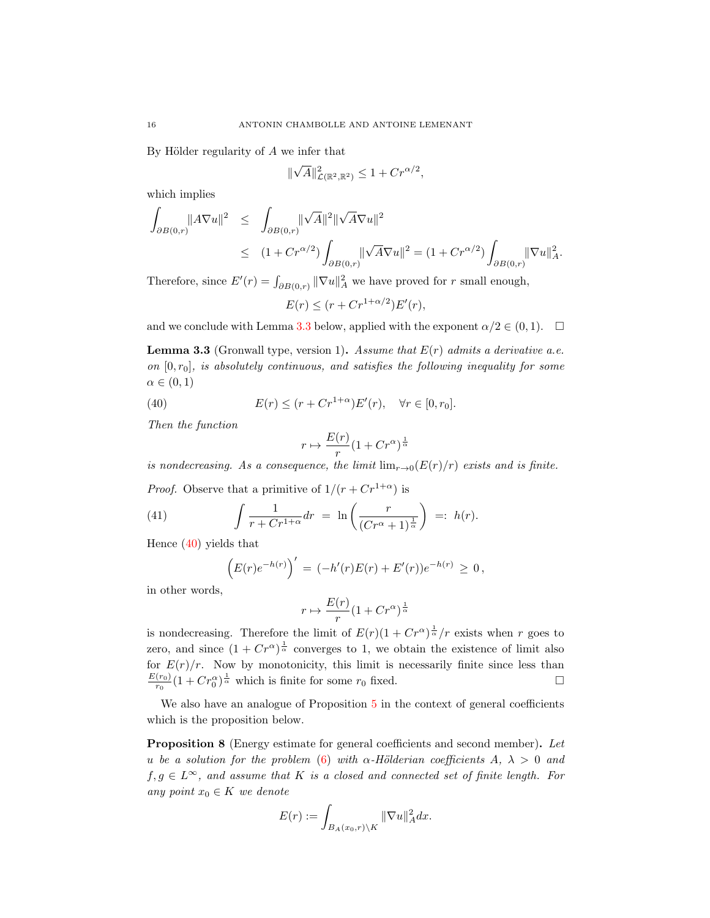By Hölder regularity of  $A$  we infer that

$$
\|\sqrt{A}\|_{\mathcal{L}(\mathbb{R}^2,\mathbb{R}^2)}^2 \le 1 + Cr^{\alpha/2},
$$

which implies

<span id="page-15-1"></span>
$$
\int_{\partial B(0,r)} \|A\nabla u\|^2 \leq \int_{\partial B(0,r)} \|\sqrt{A}\|^2 \|\sqrt{A} \nabla u\|^2
$$
  

$$
\leq (1 + Cr^{\alpha/2}) \int_{\partial B(0,r)} \|\sqrt{A} \nabla u\|^2 = (1 + Cr^{\alpha/2}) \int_{\partial B(0,r)} \|\nabla u\|^2_A.
$$

Therefore, since  $E'(r) = \int_{\partial B(0,r)} ||\nabla u||_A^2$  we have proved for r small enough,

$$
E(r) \le (r + Cr^{1+\alpha/2})E'(r),
$$

and we conclude with Lemma [3.3](#page-15-0) below, applied with the exponent  $\alpha/2 \in (0,1)$ .  $\Box$ 

<span id="page-15-0"></span>**Lemma 3.3** (Gronwall type, version 1). Assume that  $E(r)$  admits a derivative a.e. on  $[0, r_0]$ , is absolutely continuous, and satisfies the following inequality for some  $\alpha \in (0,1)$ 

(40) 
$$
E(r) \le (r + Cr^{1+\alpha})E'(r), \quad \forall r \in [0, r_0].
$$

Then the function

$$
r\mapsto \frac{E(r)}{r}(1+Cr^{\alpha})^{\frac{1}{\alpha}}
$$

is nondecreasing. As a consequence, the limit  $\lim_{r\to 0} (E(r)/r)$  exists and is finite.

*Proof.* Observe that a primitive of  $1/(r + Cr^{1+\alpha})$  is

(41) 
$$
\int \frac{1}{r + Cr^{1+\alpha}} dr = \ln\left(\frac{r}{(Cr^{\alpha}+1)^{\frac{1}{\alpha}}}\right) =: h(r).
$$

Hence [\(40\)](#page-15-1) yields that

$$
(E(r)e^{-h(r)})' = (-h'(r)E(r) + E'(r))e^{-h(r)} \ge 0,
$$

in other words,

$$
r\mapsto \frac{E(r)}{r}(1+Cr^{\alpha})^{\frac{1}{\alpha}}
$$

is nondecreasing. Therefore the limit of  $E(r)(1 + Cr^{\alpha})^{\frac{1}{\alpha}}/r$  exists when r goes to zero, and since  $(1 + Cr^{\alpha})^{\frac{1}{\alpha}}$  converges to 1, we obtain the existence of limit also for  $E(r)/r$ . Now by monotonicity, this limit is necessarily finite since less than  $E(r_0)$  $\frac{(r_0)}{r_0}(1 + Cr_0^{\alpha})^{\frac{1}{\alpha}}$  which is finite for some  $r_0$  fixed.

We also have an analogue of Proposition [5](#page-11-2) in the context of general coefficients which is the proposition below.

Proposition 8 (Energy estimate for general coefficients and second member). Let u be a solution for the problem [\(6\)](#page-3-1) with  $\alpha$ -Hölderian coefficients A,  $\lambda > 0$  and  $f, g \in L^{\infty}$ , and assume that K is a closed and connected set of finite length. For any point  $x_0 \in K$  we denote

$$
E(r) := \int_{B_A(x_0,r)\setminus K} \|\nabla u\|_A^2 dx.
$$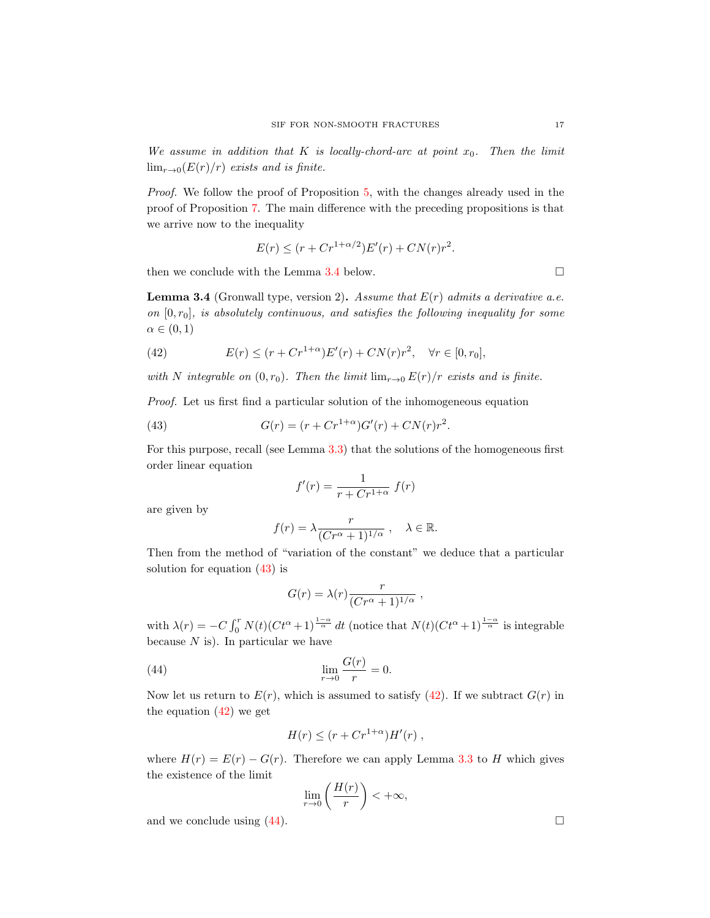We assume in addition that K is locally-chord-arc at point  $x_0$ . Then the limit  $\lim_{r\to 0} (E(r)/r)$  exists and is finite.

Proof. We follow the proof of Proposition [5,](#page-11-2) with the changes already used in the proof of Proposition [7.](#page-13-0) The main difference with the preceding propositions is that we arrive now to the inequality

$$
E(r) \le (r + Cr^{1+\alpha/2})E'(r) + CN(r)r^2.
$$

then we conclude with the Lemma [3.4](#page-16-0) below.

<span id="page-16-0"></span>**Lemma 3.4** (Gronwall type, version 2). Assume that  $E(r)$  admits a derivative a.e. on  $[0, r_0]$ , is absolutely continuous, and satisfies the following inequality for some  $\alpha \in (0,1)$ 

<span id="page-16-2"></span>(42) 
$$
E(r) \le (r + Cr^{1+\alpha})E'(r) + CN(r)r^2, \quad \forall r \in [0, r_0],
$$

with N integrable on  $(0, r_0)$ . Then the limit  $\lim_{r\to 0} E(r)/r$  exists and is finite.

Proof. Let us first find a particular solution of the inhomogeneous equation

(43) 
$$
G(r) = (r + Cr^{1+\alpha})G'(r) + CN(r)r^{2}.
$$

For this purpose, recall (see Lemma [3.3\)](#page-15-0) that the solutions of the homogeneous first order linear equation

<span id="page-16-1"></span>
$$
f'(r) = \frac{1}{r + Cr^{1+\alpha}} f(r)
$$

are given by

$$
f(r) = \lambda \frac{r}{(Cr^{\alpha} + 1)^{1/\alpha}}, \quad \lambda \in \mathbb{R}.
$$

Then from the method of "variation of the constant" we deduce that a particular solution for equation [\(43\)](#page-16-1) is

$$
G(r) = \lambda(r) \frac{r}{(Cr^{\alpha} + 1)^{1/\alpha}} ,
$$

with  $\lambda(r) = -C \int_0^r N(t) (C t^{\alpha} + 1)^{\frac{1-\alpha}{\alpha}} dt$  (notice that  $N(t) (C t^{\alpha} + 1)^{\frac{1-\alpha}{\alpha}}$  is integrable because  $N$  is). In particular we have

(44) 
$$
\lim_{r \to 0} \frac{G(r)}{r} = 0.
$$

Now let us return to  $E(r)$ , which is assumed to satisfy [\(42\)](#page-16-2). If we subtract  $G(r)$  in the equation  $(42)$  we get

<span id="page-16-3"></span>
$$
H(r) \le (r + Cr^{1+\alpha})H'(r) ,
$$

where  $H(r) = E(r) - G(r)$ . Therefore we can apply Lemma [3.3](#page-15-0) to H which gives the existence of the limit

$$
\lim_{r \to 0} \left( \frac{H(r)}{r} \right) < +\infty,
$$

and we conclude using  $(44)$ .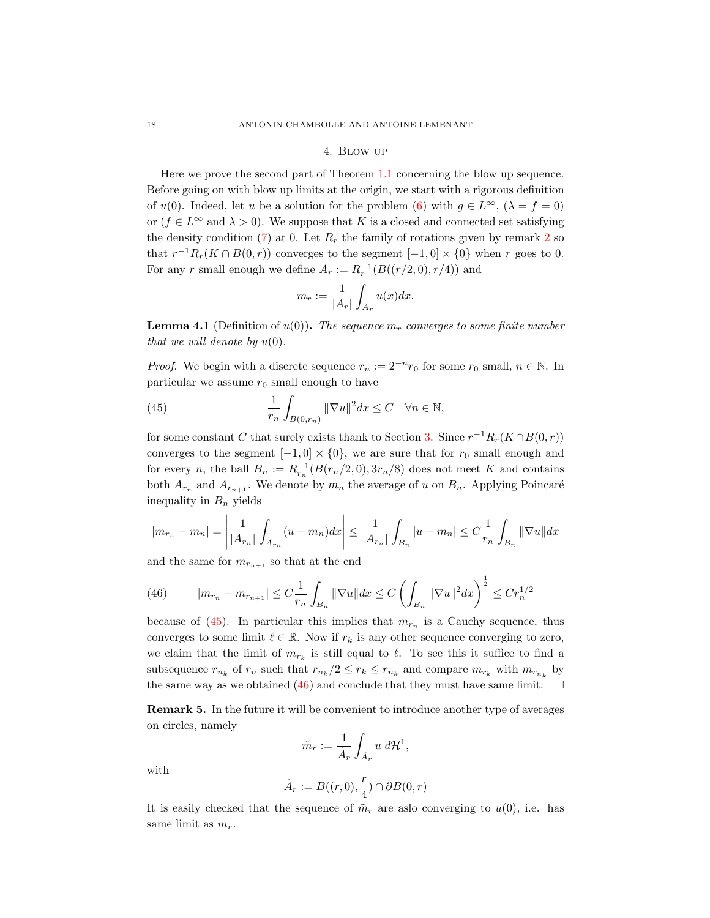### 4. Blow up

<span id="page-17-1"></span>Here we prove the second part of Theorem [1.1](#page-2-0) concerning the blow up sequence. Before going on with blow up limits at the origin, we start with a rigorous definition of  $u(0)$ . Indeed, let u be a solution for the problem [\(6\)](#page-3-1) with  $g \in L^{\infty}$ ,  $(\lambda = f = 0)$ or  $(f \in L^{\infty}$  and  $\lambda > 0$ ). We suppose that K is a closed and connected set satisfying the density condition [\(7\)](#page-4-0) at 0. Let  $R_r$  the family of rotations given by remark [2](#page-5-0) so that  $r^{-1}R_r(K \cap B(0,r))$  converges to the segment  $[-1,0] \times \{0\}$  when r goes to 0. For any r small enough we define  $A_r := R_r^{-1}(B((r/2,0), r/4))$  and

<span id="page-17-2"></span>
$$
m_r := \frac{1}{|A_r|} \int_{A_r} u(x) dx.
$$

<span id="page-17-0"></span>**Lemma 4.1** (Definition of  $u(0)$ ). The sequence  $m_r$  converges to some finite number that we will denote by  $u(0)$ .

*Proof.* We begin with a discrete sequence  $r_n := 2^{-n} r_0$  for some  $r_0$  small,  $n \in \mathbb{N}$ . In particular we assume  $r_0$  small enough to have

(45) 
$$
\frac{1}{r_n} \int_{B(0,r_n)} ||\nabla u||^2 dx \leq C \quad \forall n \in \mathbb{N},
$$

for some constant C that surely exists thank to Section [3.](#page-7-0) Since  $r^{-1}R_r(K \cap B(0,r))$ converges to the segment  $[-1, 0] \times \{0\}$ , we are sure that for  $r_0$  small enough and for every n, the ball  $B_n := R_{r_n}^{-1}(B(r_n/2,0), 3r_n/8)$  does not meet K and contains both  $A_{r_n}$  and  $A_{r_{n+1}}$ . We denote by  $m_n$  the average of u on  $B_n$ . Applying Poincaré inequality in  $B_n$  yields

$$
|m_{r_n} - m_n| = \left| \frac{1}{|A_{r_n}|} \int_{A_{r_n}} (u - m_n) dx \right| \le \frac{1}{|A_{r_n}|} \int_{B_n} |u - m_n| \le C \frac{1}{r_n} \int_{B_n} ||\nabla u|| dx
$$

and the same for  $m_{r_{n+1}}$  so that at the end

<span id="page-17-3"></span>(46) 
$$
|m_{r_n} - m_{r_{n+1}}| \leq C \frac{1}{r_n} \int_{B_n} \|\nabla u\| dx \leq C \left( \int_{B_n} \|\nabla u\|^2 dx \right)^{\frac{1}{2}} \leq C r_n^{1/2}
$$

because of [\(45\)](#page-17-2). In particular this implies that  $m_{r_n}$  is a Cauchy sequence, thus converges to some limit  $\ell \in \mathbb{R}$ . Now if  $r_k$  is any other sequence converging to zero, we claim that the limit of  $m_{r_k}$  is still equal to  $\ell$ . To see this it suffice to find a subsequence  $r_{n_k}$  of  $r_n$  such that  $r_{n_k}/2 \le r_k \le r_{n_k}$  and compare  $m_{r_k}$  with  $m_{r_{n_k}}$  by the same way as we obtained [\(46\)](#page-17-3) and conclude that they must have same limit.  $\square$ 

<span id="page-17-4"></span>Remark 5. In the future it will be convenient to introduce another type of averages on circles, namely

$$
\tilde{m}_r := \frac{1}{\tilde{A}_r} \int_{\tilde{A}_r} u \, d\mathcal{H}^1,
$$

with

$$
\tilde{A}_r := B((r,0),\frac{r}{4}) \cap \partial B(0,r)
$$

It is easily checked that the sequence of  $\tilde{m}_r$  are aslo converging to  $u(0)$ , i.e. has same limit as  $m_r$ .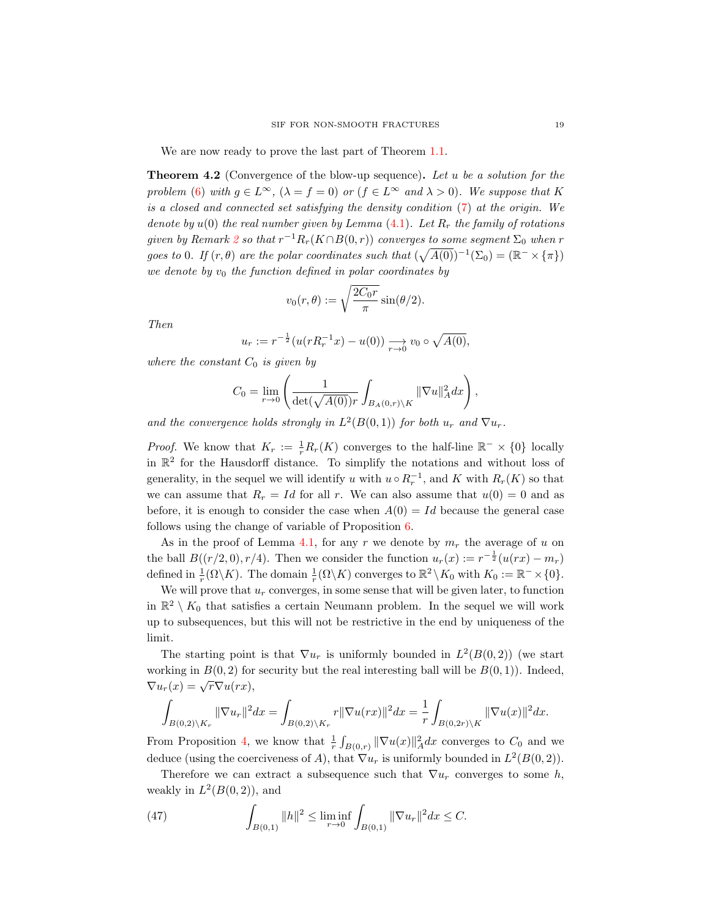We are now ready to prove the last part of Theorem [1.1.](#page-2-0)

<span id="page-18-0"></span>**Theorem 4.2** (Convergence of the blow-up sequence). Let u be a solution for the problem [\(6\)](#page-3-1) with  $g \in L^{\infty}$ ,  $(\lambda = f = 0)$  or  $(f \in L^{\infty}$  and  $\lambda > 0)$ . We suppose that K is a closed and connected set satisfying the density condition [\(7\)](#page-4-0) at the origin. We denote by  $u(0)$  the real number given by Lemma [\(4.1\)](#page-17-0). Let  $R_r$  the family of rotations given by Remark [2](#page-5-0) so that  $r^{-1}R_r(K \cap B(0,r))$  converges to some segment  $\Sigma_0$  when r goes to 0. If  $(r, \theta)$  are the polar coordinates such that  $(\sqrt{A(0)})^{-1}(\Sigma_0) = (\mathbb{R}^- \times {\{\pi\}})$ we denote by  $v_0$  the function defined in polar coordinates by

$$
v_0(r,\theta) := \sqrt{\frac{2C_0r}{\pi}}\sin(\theta/2).
$$

Then

$$
u_r := r^{-\frac{1}{2}} (u(rR_r^{-1}x) - u(0)) \xrightarrow[r \to 0]{} v_0 \circ \sqrt{A(0)},
$$

where the constant  $C_0$  is given by

$$
C_0 = \lim_{r \to 0} \left( \frac{1}{\det(\sqrt{A(0)})r} \int_{B_A(0,r)\setminus K} ||\nabla u||_A^2 dx \right),
$$

and the convergence holds strongly in  $L^2(B(0,1))$  for both  $u_r$  and  $\nabla u_r$ .

*Proof.* We know that  $K_r := \frac{1}{r} R_r(K)$  converges to the half-line  $\mathbb{R}^- \times \{0\}$  locally in  $\mathbb{R}^2$  for the Hausdorff distance. To simplify the notations and without loss of generality, in the sequel we will identify u with  $u \circ R_r^{-1}$ , and K with  $R_r(K)$  so that we can assume that  $R_r = Id$  for all r. We can also assume that  $u(0) = 0$  and as before, it is enough to consider the case when  $A(0) = Id$  because the general case follows using the change of variable of Proposition [6.](#page-13-2)

As in the proof of Lemma [4.1,](#page-17-0) for any r we denote by  $m_r$  the average of u on the ball  $B((r/2,0), r/4)$ . Then we consider the function  $u_r(x) := r^{-\frac{1}{2}}(u(rx) - m_r)$ defined in  $\frac{1}{r}(\Omega \backslash K)$ . The domain  $\frac{1}{r}(\Omega \backslash K)$  converges to  $\mathbb{R}^2 \backslash K_0$  with  $K_0 := \mathbb{R}^- \times \{0\}$ .

We will prove that  $u_r$  converges, in some sense that will be given later, to function in  $\mathbb{R}^2 \setminus K_0$  that satisfies a certain Neumann problem. In the sequel we will work up to subsequences, but this will not be restrictive in the end by uniqueness of the limit.

The starting point is that  $\nabla u_r$  is uniformly bounded in  $L^2(B(0, 2))$  (we start working in  $B(0, 2)$  for security but the real interesting ball will be  $B(0, 1)$ ). Indeed,  $\nabla u_r(x) = \sqrt{r} \nabla u(rx),$ 

$$
\int_{B(0,2)\backslash K_r} \|\nabla u_r\|^2 dx = \int_{B(0,2)\backslash K_r} r \|\nabla u(rx)\|^2 dx = \frac{1}{r} \int_{B(0,2r)\backslash K} \|\nabla u(x)\|^2 dx.
$$

From Proposition [4,](#page-9-3) we know that  $\frac{1}{r}\int_{B(0,r)} \|\nabla u(x)\|_A^2 dx$  converges to  $C_0$  and we deduce (using the coerciveness of A), that  $\nabla u_r$  is uniformly bounded in  $L^2(B(0, 2))$ .

Therefore we can extract a subsequence such that  $\nabla u_r$  converges to some h, weakly in  $L^2(B(0, 2))$ , and

<span id="page-18-1"></span>(47) 
$$
\int_{B(0,1)} ||h||^2 \leq \liminf_{r \to 0} \int_{B(0,1)} ||\nabla u_r||^2 dx \leq C.
$$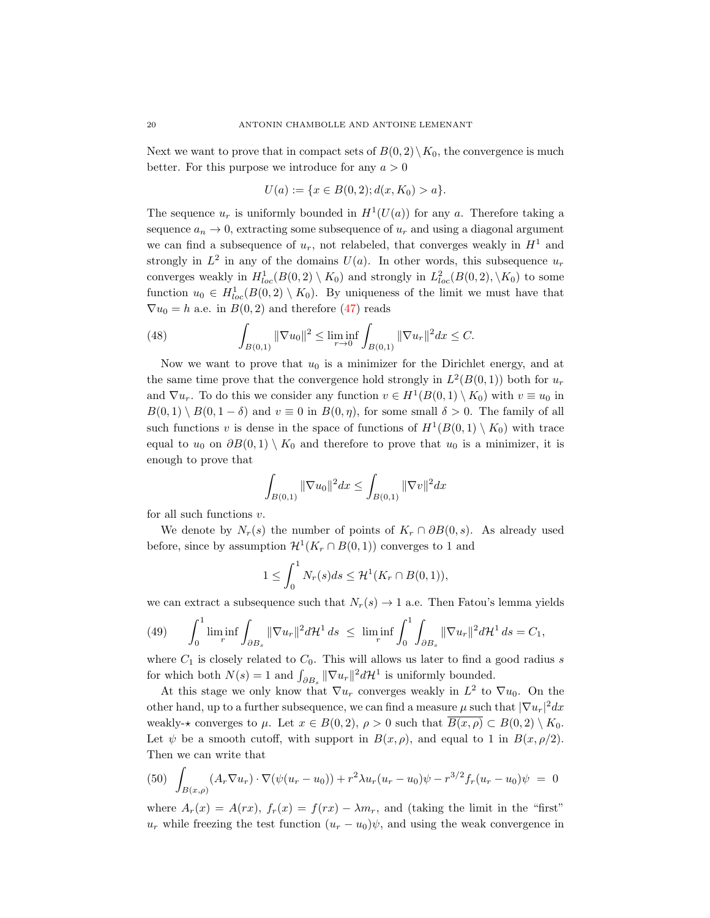Next we want to prove that in compact sets of  $B(0, 2) \setminus K_0$ , the convergence is much better. For this purpose we introduce for any  $a > 0$ 

$$
U(a) := \{ x \in B(0,2); d(x, K_0) > a \}.
$$

The sequence  $u_r$  is uniformly bounded in  $H^1(U(a))$  for any a. Therefore taking a sequence  $a_n \to 0$ , extracting some subsequence of  $u_r$  and using a diagonal argument we can find a subsequence of  $u_r$ , not relabeled, that converges weakly in  $H<sup>1</sup>$  and strongly in  $L^2$  in any of the domains  $U(a)$ . In other words, this subsequence  $u_r$ converges weakly in  $H^1_{loc}(B(0,2) \setminus K_0)$  and strongly in  $L^2_{loc}(B(0,2), \setminus K_0)$  to some function  $u_0 \in H_{loc}^1(B(0,2) \setminus K_0)$ . By uniqueness of the limit we must have that  $\nabla u_0 = h$  a.e. in  $B(0, 2)$  and therefore [\(47\)](#page-18-1) reads

<span id="page-19-2"></span>(48) 
$$
\int_{B(0,1)} \|\nabla u_0\|^2 \leq \liminf_{r \to 0} \int_{B(0,1)} \|\nabla u_r\|^2 dx \leq C.
$$

Now we want to prove that  $u_0$  is a minimizer for the Dirichlet energy, and at the same time prove that the convergence hold strongly in  $L^2(B(0,1))$  both for  $u_r$ and  $\nabla u_r$ . To do this we consider any function  $v \in H^1(B(0,1) \setminus K_0)$  with  $v \equiv u_0$  in  $B(0, 1) \setminus B(0, 1 - \delta)$  and  $v \equiv 0$  in  $B(0, \eta)$ , for some small  $\delta > 0$ . The family of all such functions v is dense in the space of functions of  $H^1(B(0,1) \setminus K_0)$  with trace equal to  $u_0$  on  $\partial B(0,1) \setminus K_0$  and therefore to prove that  $u_0$  is a minimizer, it is enough to prove that

$$
\int_{B(0,1)} \|\nabla u_0\|^2 dx \le \int_{B(0,1)} \|\nabla v\|^2 dx
$$

for all such functions  $v$ .

We denote by  $N_r(s)$  the number of points of  $K_r \cap \partial B(0, s)$ . As already used before, since by assumption  $\mathcal{H}^1(K_r \cap B(0,1))$  converges to 1 and

$$
1 \leq \int_0^1 N_r(s)ds \leq \mathcal{H}^1(K_r \cap B(0,1)),
$$

we can extract a subsequence such that  $N_r(s) \to 1$  a.e. Then Fatou's lemma yields

<span id="page-19-1"></span>(49) 
$$
\int_0^1 \liminf_{r} \int_{\partial B_s} \|\nabla u_r\|^2 d\mathcal{H}^1 ds \leq \liminf_{r} \int_0^1 \int_{\partial B_s} \|\nabla u_r\|^2 d\mathcal{H}^1 ds = C_1,
$$

where  $C_1$  is closely related to  $C_0$ . This will allows us later to find a good radius s for which both  $N(s) = 1$  and  $\int_{\partial B_s} ||\nabla u_r||^2 d\mathcal{H}^1$  is uniformly bounded.

At this stage we only know that  $\nabla u_r$  converges weakly in  $L^2$  to  $\nabla u_0$ . On the other hand, up to a further subsequence, we can find a measure  $\mu$  such that  $|\nabla u_r|^2 dx$ weakly- $\star$  converges to  $\mu$ . Let  $x \in B(0, 2)$ ,  $\rho > 0$  such that  $\overline{B(x, \rho)} \subset B(0, 2) \setminus K_0$ . Let  $\psi$  be a smooth cutoff, with support in  $B(x, \rho)$ , and equal to 1 in  $B(x, \rho/2)$ . Then we can write that

<span id="page-19-0"></span>
$$
(50) \int_{B(x,\rho)} (A_r \nabla u_r) \cdot \nabla (\psi (u_r - u_0)) + r^2 \lambda u_r (u_r - u_0) \psi - r^{3/2} f_r (u_r - u_0) \psi = 0
$$

where  $A_r(x) = A(rx)$ ,  $f_r(x) = f(rx) - \lambda m_r$ , and (taking the limit in the "first"  $u_r$  while freezing the test function  $(u_r - u_0)\psi$ , and using the weak convergence in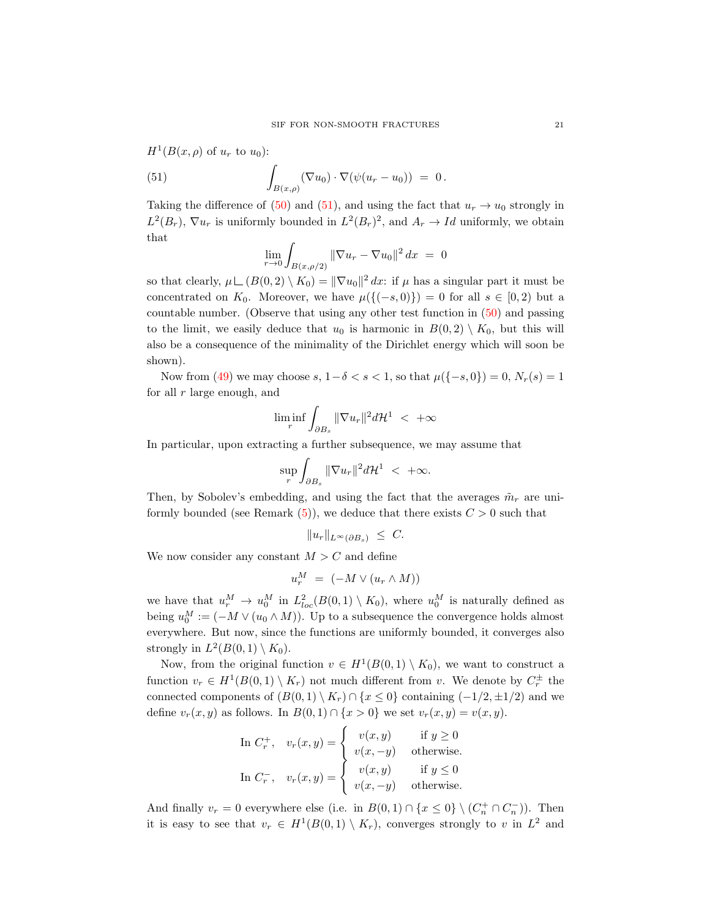$$
H1(B(x, \rho) of ur to u0):
$$
  
(51) 
$$
\int_{B(x, \rho)} (\nabla u_0) \cdot \nabla (\psi(u_r - u_0)) = 0.
$$

Taking the difference of [\(50\)](#page-19-0) and [\(51\)](#page-20-0), and using the fact that  $u_r \to u_0$  strongly in  $L^2(B_r)$ ,  $\nabla u_r$  is uniformly bounded in  $L^2(B_r)^2$ , and  $A_r \to Id$  uniformly, we obtain that

<span id="page-20-0"></span>
$$
\lim_{r \to 0} \int_{B(x,\rho/2)} ||\nabla u_r - \nabla u_0||^2 dx = 0
$$

so that clearly,  $\mu \lfloor (B(0, 2) \setminus K_0) \rfloor = ||\nabla u_0||^2 dx$ : if  $\mu$  has a singular part it must be concentrated on  $K_0$ . Moreover, we have  $\mu({(-s,0)}) = 0$  for all  $s \in [0,2)$  but a countable number. (Observe that using any other test function in [\(50\)](#page-19-0) and passing to the limit, we easily deduce that  $u_0$  is harmonic in  $B(0, 2) \setminus K_0$ , but this will also be a consequence of the minimality of the Dirichlet energy which will soon be shown).

Now from [\(49\)](#page-19-1) we may choose  $s, 1-\delta < s < 1$ , so that  $\mu({-s, 0}) = 0, N_r(s) = 1$ for all  $r$  large enough, and

$$
\liminf_r \int_{\partial B_s} \|\nabla u_r\|^2 d{\cal H}^1 \ <\ +\infty
$$

In particular, upon extracting a further subsequence, we may assume that

$$
\sup_r \int_{\partial B_s} \|\nabla u_r\|^2 d\mathcal{H}^1 < +\infty.
$$

Then, by Sobolev's embedding, and using the fact that the averages  $\tilde{m}_r$  are uniformly bounded (see Remark  $(5)$ ), we deduce that there exists  $C > 0$  such that

$$
||u_r||_{L^{\infty}(\partial B_s)} \leq C.
$$

We now consider any constant  $M > C$  and define

$$
u_r^M = (-M \vee (u_r \wedge M))
$$

we have that  $u_r^M \to u_0^M$  in  $L^2_{loc}(B(0,1) \setminus K_0)$ , where  $u_0^M$  is naturally defined as being  $u_0^M := (-M \vee (u_0 \wedge M))$ . Up to a subsequence the convergence holds almost everywhere. But now, since the functions are uniformly bounded, it converges also strongly in  $L^2(B(0,1) \setminus K_0)$ .

Now, from the original function  $v \in H^1(B(0,1) \setminus K_0)$ , we want to construct a function  $v_r \in H^1(B(0,1) \setminus K_r)$  not much different from v. We denote by  $C_r^{\pm}$  the connected components of  $(B(0, 1) \setminus K_r) \cap \{x \leq 0\}$  containing  $(-1/2, \pm 1/2)$  and we define  $v_r(x, y)$  as follows. In  $B(0, 1) \cap \{x > 0\}$  we set  $v_r(x, y) = v(x, y)$ .

In 
$$
C_r^+
$$
,  $v_r(x, y) = \begin{cases} v(x, y) & \text{if } y \ge 0 \\ v(x, -y) & \text{otherwise.} \end{cases}$   
In  $C_r^-$ ,  $v_r(x, y) = \begin{cases} v(x, y) & \text{if } y \le 0 \\ v(x, -y) & \text{otherwise.} \end{cases}$ 

And finally  $v_r = 0$  everywhere else (i.e. in  $B(0,1) \cap \{x \leq 0\} \setminus (C_n^+ \cap C_n^-)$ ). Then it is easy to see that  $v_r \in H^1(B(0,1) \setminus K_r)$ , converges strongly to v in  $L^2$  and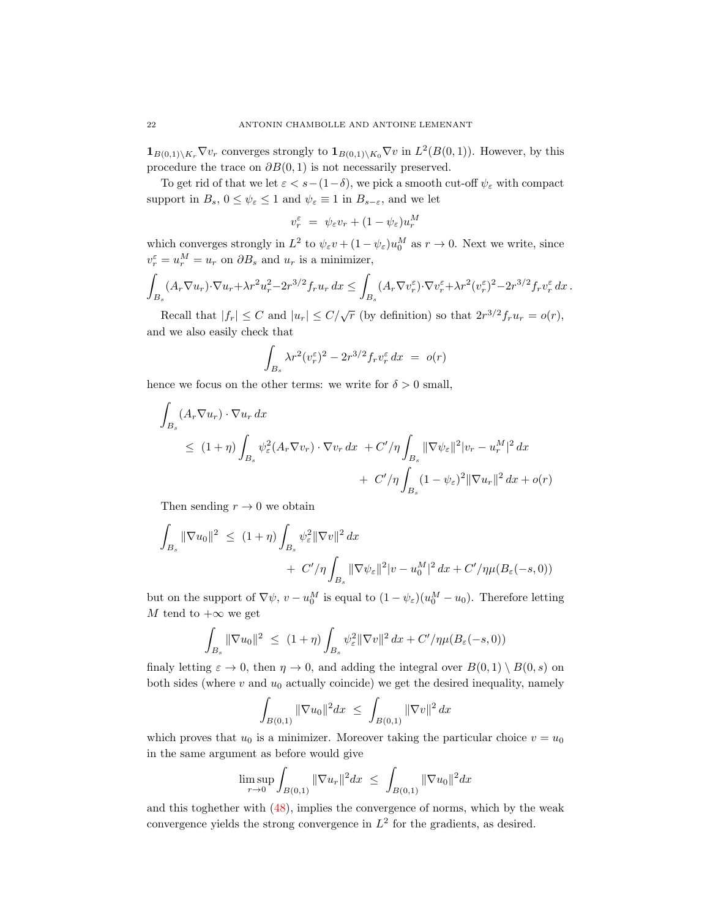$\mathbf{1}_{B(0,1)\backslash K_r}\nabla v_r$  converges strongly to  $\mathbf{1}_{B(0,1)\backslash K_0}\nabla v$  in  $L^2(B(0,1))$ . However, by this procedure the trace on  $\partial B(0,1)$  is not necessarily preserved.

To get rid of that we let  $\varepsilon < s-(1-\delta)$ , we pick a smooth cut-off  $\psi_{\varepsilon}$  with compact support in  $B_s$ ,  $0 \leq \psi_{\varepsilon} \leq 1$  and  $\psi_{\varepsilon} \equiv 1$  in  $B_{s-\varepsilon}$ , and we let

$$
v_r^{\varepsilon} = \psi_{\varepsilon} v_r + (1 - \psi_{\varepsilon}) u_r^M
$$

which converges strongly in  $L^2$  to  $\psi_{\varepsilon}v + (1 - \psi_{\varepsilon})u_0^M$  as  $r \to 0$ . Next we write, since  $v_r^{\varepsilon} = u_r^M = u_r$  on  $\partial B_s$  and  $u_r$  is a minimizer,

$$
\int_{B_s} (A_r \nabla u_r) \cdot \nabla u_r + \lambda r^2 u_r^2 - 2r^{3/2} f_r u_r \, dx \le \int_{B_s} (A_r \nabla v_r^{\varepsilon}) \cdot \nabla v_r^{\varepsilon} + \lambda r^2 (v_r^{\varepsilon})^2 - 2r^{3/2} f_r v_r^{\varepsilon} \, dx \, .
$$

Recall that  $|f_r| \leq C$  and  $|u_r| \leq C/\sqrt{r}$  (by definition) so that  $2r^{3/2}f_ru_r = o(r)$ , and we also easily check that

$$
\int_{B_s} \lambda r^2 (v_r^{\varepsilon})^2 - 2r^{3/2} f_r v_r^{\varepsilon} dx = o(r)
$$

hence we focus on the other terms: we write for  $\delta > 0$  small,

$$
\int_{B_s} (A_r \nabla u_r) \cdot \nabla u_r \, dx
$$
\n
$$
\leq (1+\eta) \int_{B_s} \psi_\varepsilon^2 (A_r \nabla v_r) \cdot \nabla v_r \, dx + C'/\eta \int_{B_s} ||\nabla \psi_\varepsilon||^2 |v_r - u_r^M|^2 \, dx
$$
\n
$$
+ C'/\eta \int_{B_s} (1 - \psi_\varepsilon)^2 ||\nabla u_r||^2 \, dx + o(r)
$$

Then sending  $r \to 0$  we obtain

$$
\int_{B_s} \|\nabla u_0\|^2 \le (1+\eta) \int_{B_s} \psi_\varepsilon^2 \|\nabla v\|^2 dx \n+ C'/\eta \int_{B_s} \|\nabla \psi_\varepsilon\|^2 |v - u_0^M|^2 dx + C'/\eta \mu(B_\varepsilon(-s, 0))
$$

but on the support of  $\nabla \psi$ ,  $v - u_0^M$  is equal to  $(1 - \psi_\varepsilon)(u_0^M - u_0)$ . Therefore letting M tend to  $+\infty$  we get

$$
\int_{B_s} \|\nabla u_0\|^2 \ \leq \ (1+\eta) \int_{B_s} \psi_\varepsilon^2 \|\nabla v\|^2 \, dx + C'/\eta \mu(B_\varepsilon(-s,0))
$$

finaly letting  $\varepsilon \to 0$ , then  $\eta \to 0$ , and adding the integral over  $B(0, 1) \setminus B(0, s)$  on both sides (where  $v$  and  $u_0$  actually coincide) we get the desired inequality, namely

$$
\int_{B(0,1)} \|\nabla u_0\|^2 dx \ \le \ \int_{B(0,1)} \|\nabla v\|^2 dx
$$

which proves that  $u_0$  is a minimizer. Moreover taking the particular choice  $v = u_0$ in the same argument as before would give

$$
\limsup_{r \to 0} \int_{B(0,1)} ||\nabla u_r||^2 dx \ \le \ \int_{B(0,1)} ||\nabla u_0||^2 dx
$$

and this toghether with [\(48\)](#page-19-2), implies the convergence of norms, which by the weak convergence yields the strong convergence in  $L^2$  for the gradients, as desired.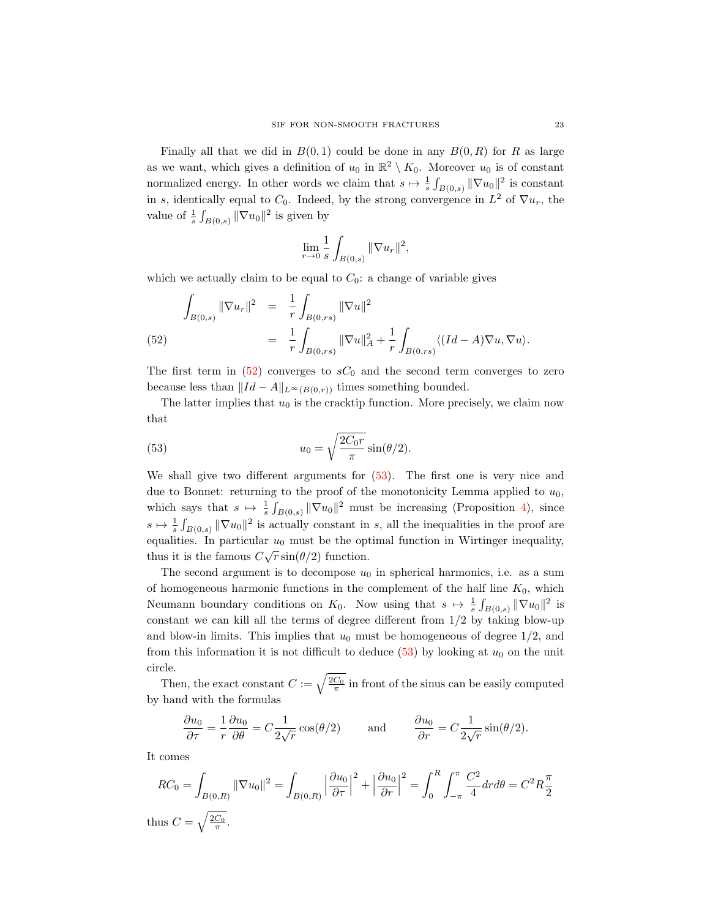Finally all that we did in  $B(0, 1)$  could be done in any  $B(0, R)$  for R as large as we want, which gives a definition of  $u_0$  in  $\mathbb{R}^2 \setminus K_0$ . Moreover  $u_0$  is of constant normalized energy. In other words we claim that  $s \mapsto \frac{1}{s} \int_{B(0,s)} ||\nabla u_0||^2$  is constant in s, identically equal to  $C_0$ . Indeed, by the strong convergence in  $L^2$  of  $\nabla u_r$ , the value of  $\frac{1}{s} \int_{B(0,s)} ||\nabla u_0||^2$  is given by

$$
\lim_{r \to 0} \frac{1}{s} \int_{B(0,s)} ||\nabla u_r||^2,
$$

which we actually claim to be equal to  $C_0$ : a change of variable gives

<span id="page-22-0"></span>(52) 
$$
\int_{B(0,s)} \|\nabla u_r\|^2 = \frac{1}{r} \int_{B(0,rs)} \|\nabla u\|^2
$$

$$
= \frac{1}{r} \int_{B(0,rs)} \|\nabla u\|^2 + \frac{1}{r} \int_{B(0,rs)} \langle (Id - A)\nabla u, \nabla u \rangle.
$$

The first term in  $(52)$  converges to  $sC_0$  and the second term converges to zero because less than  $||Id - A||_{L^{\infty}(B(0,r))}$  times something bounded.

The latter implies that  $u_0$  is the cracktip function. More precisely, we claim now that

<span id="page-22-1"></span>(53) 
$$
u_0 = \sqrt{\frac{2C_0r}{\pi}}\sin(\theta/2).
$$

We shall give two different arguments for [\(53\)](#page-22-1). The first one is very nice and due to Bonnet: returning to the proof of the monotonicity Lemma applied to  $u_0$ , which says that  $s \mapsto \frac{1}{s} \int_{B(0,s)} ||\nabla u_0||^2$  must be increasing (Proposition [4\)](#page-9-3), since  $s \mapsto \frac{1}{s} \int_{B(0,s)} ||\nabla u_0||^2$  is actually constant in s, all the inequalities in the proof are equalities. In particular  $u_0$  must be the optimal function in Wirtinger inequality, thus it is the famous  $C\sqrt{r}\sin(\theta/2)$  function.

The second argument is to decompose  $u_0$  in spherical harmonics, i.e. as a sum of homogeneous harmonic functions in the complement of the half line  $K_0$ , which Neumann boundary conditions on  $K_0$ . Now using that  $s \mapsto \frac{1}{s} \int_{B(0,s)} ||\nabla u_0||^2$  is constant we can kill all the terms of degree different from  $1/2$  by taking blow-up and blow-in limits. This implies that  $u_0$  must be homogeneous of degree  $1/2$ , and from this information it is not difficult to deduce  $(53)$  by looking at  $u_0$  on the unit circle.

Then, the exact constant  $C := \sqrt{\frac{2C_0}{\pi}}$  in front of the sinus can be easily computed by hand with the formulas

$$
\frac{\partial u_0}{\partial \tau} = \frac{1}{r} \frac{\partial u_0}{\partial \theta} = C \frac{1}{2\sqrt{r}} \cos(\theta/2) \quad \text{and} \quad \frac{\partial u_0}{\partial r} = C \frac{1}{2\sqrt{r}} \sin(\theta/2).
$$

It comes

$$
RC_0 = \int_{B(0,R)} ||\nabla u_0||^2 = \int_{B(0,R)} \left| \frac{\partial u_0}{\partial \tau} \right|^2 + \left| \frac{\partial u_0}{\partial \tau} \right|^2 = \int_0^R \int_{-\pi}^{\pi} \frac{C^2}{4} dr d\theta = C^2 R \frac{\pi}{2}
$$
  
thus  $C = \sqrt{\frac{2C_0}{\pi}}$ .